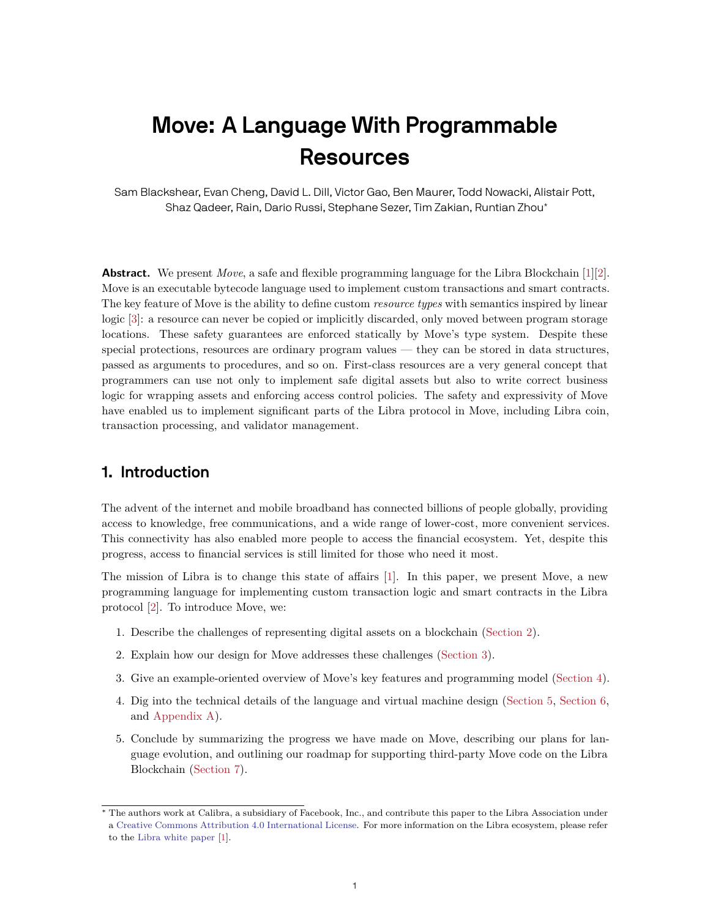# **Move: A Language With Programmable Resources**

Sam Blackshear, Evan Cheng, David L. Dill, Victor Gao, Ben Maurer, Todd Nowacki, Alistair Pott, Shaz Qadeer, Rain, Dario Russi, Stephane Sezer, Tim Zakian, Runtian Zhou\*

**Abstract.** We present *Move*, a safe and flexible programming language for the Libra Blockchain [\[1](#page-24-0)][[2\]](#page-24-1). Move is an executable bytecode language used to implement custom transactions and smart contracts. The key feature of Move is the ability to define custom *resource types* with semantics inspired by linear logic [\[3](#page-24-2)]: a resource can never be copied or implicitly discarded, only moved between program storage locations. These safety guarantees are enforced statically by Move's type system. Despite these special protections, resources are ordinary program values — they can be stored in data structures, passed as arguments to procedures, and so on. First-class resources are a very general concept that programmers can use not only to implement safe digital assets but also to write correct business logic for wrapping assets and enforcing access control policies. The safety and expressivity of Move have enabled us to implement significant parts of the Libra protocol in Move, including Libra coin, transaction processing, and validator management.

# **1. Introduction**

The advent of the internet and mobile broadband has connected billions of people globally, providing access to knowledge, free communications, and a wide range of lower-cost, more convenient services. This connectivity has also enabled more people to access the financial ecosystem. Yet, despite this progress, access to financial services is still limited for those who need it most.

The mission of Libra is to change this state of affairs [[1\]](#page-24-0). In this paper, we present Move, a new programming language for implementing custom transaction logic and smart contracts in the Libra protocol [[2\]](#page-24-1). To introduce Move, we:

- 1. Describe the challenges of representing digital assets on a blockchain [\(Section 2](#page-1-0)).
- 2. Explain how our design for Move addresses these challenges ([Section 3](#page-4-0)).
- 3. Give an example-oriented overview of Move's key features and programming model ([Section 4](#page-7-0)).
- 4. Dig into the technical details of the language and virtual machine design [\(Section 5,](#page-11-0) [Section 6,](#page-17-0) and [Appendix A](#page-20-0)).
- 5. Conclude by summarizing the progress we have made on Move, describing our plans for language evolution, and outlining our roadmap for supporting third-party Move code on the Libra Blockchain [\(Section 7\)](#page-18-0).

<sup>∗</sup> The authors work at Calibra, a subsidiary of Facebook, Inc., and contribute this paper to the Libra Association under a [Creative Commons Attribution 4.0 International License.](https://creativecommons.org/licenses/by/4.0/) For more information on the Libra ecosystem, please refer to the [Libra white paper](https://libra.org/en-us/whitepaper) [[1\]](#page-24-0).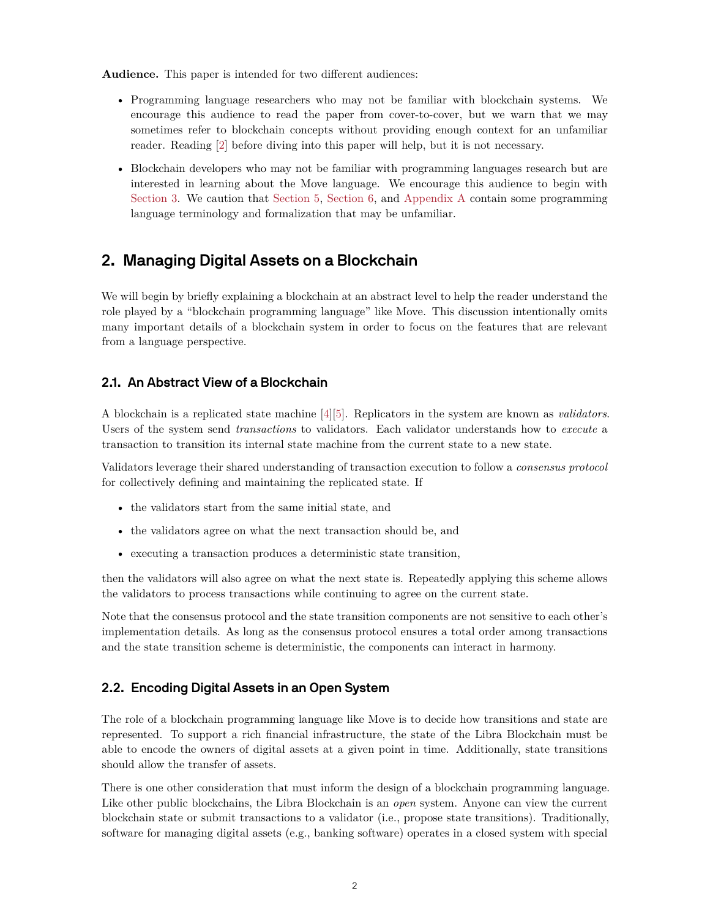**Audience.** This paper is intended for two different audiences:

- Programming language researchers who may not be familiar with blockchain systems. We encourage this audience to read the paper from cover-to-cover, but we warn that we may sometimes refer to blockchain concepts without providing enough context for an unfamiliar reader. Reading [[2\]](#page-24-1) before diving into this paper will help, but it is not necessary.
- Blockchain developers who may not be familiar with programming languages research but are interested in learning about the Move language. We encourage this audience to begin with [Section 3.](#page-4-0) We caution that [Section 5,](#page-11-0) [Section 6](#page-17-0), and [Appendix A](#page-20-0) contain some programming language terminology and formalization that may be unfamiliar.

# <span id="page-1-0"></span>**2. Managing Digital Assets on a Blockchain**

We will begin by briefly explaining a blockchain at an abstract level to help the reader understand the role played by a "blockchain programming language" like Move. This discussion intentionally omits many important details of a blockchain system in order to focus on the features that are relevant from a language perspective.

## **2.1. An Abstract View of a Blockchain**

A blockchain is a replicated state machine [\[4](#page-24-3)][[5\]](#page-24-4). Replicators in the system are known as *validators*. Users of the system send *transactions* to validators. Each validator understands how to *execute* a transaction to transition its internal state machine from the current state to a new state.

Validators leverage their shared understanding of transaction execution to follow a *consensus protocol* for collectively defining and maintaining the replicated state. If

- the validators start from the same initial state, and
- the validators agree on what the next transaction should be, and
- executing a transaction produces a deterministic state transition,

then the validators will also agree on what the next state is. Repeatedly applying this scheme allows the validators to process transactions while continuing to agree on the current state.

Note that the consensus protocol and the state transition components are not sensitive to each other's implementation details. As long as the consensus protocol ensures a total order among transactions and the state transition scheme is deterministic, the components can interact in harmony.

## <span id="page-1-1"></span>**2.2. Encoding Digital Assets in an Open System**

The role of a blockchain programming language like Move is to decide how transitions and state are represented. To support a rich financial infrastructure, the state of the Libra Blockchain must be able to encode the owners of digital assets at a given point in time. Additionally, state transitions should allow the transfer of assets.

There is one other consideration that must inform the design of a blockchain programming language. Like other public blockchains, the Libra Blockchain is an *open* system. Anyone can view the current blockchain state or submit transactions to a validator (i.e., propose state transitions). Traditionally, software for managing digital assets (e.g., banking software) operates in a closed system with special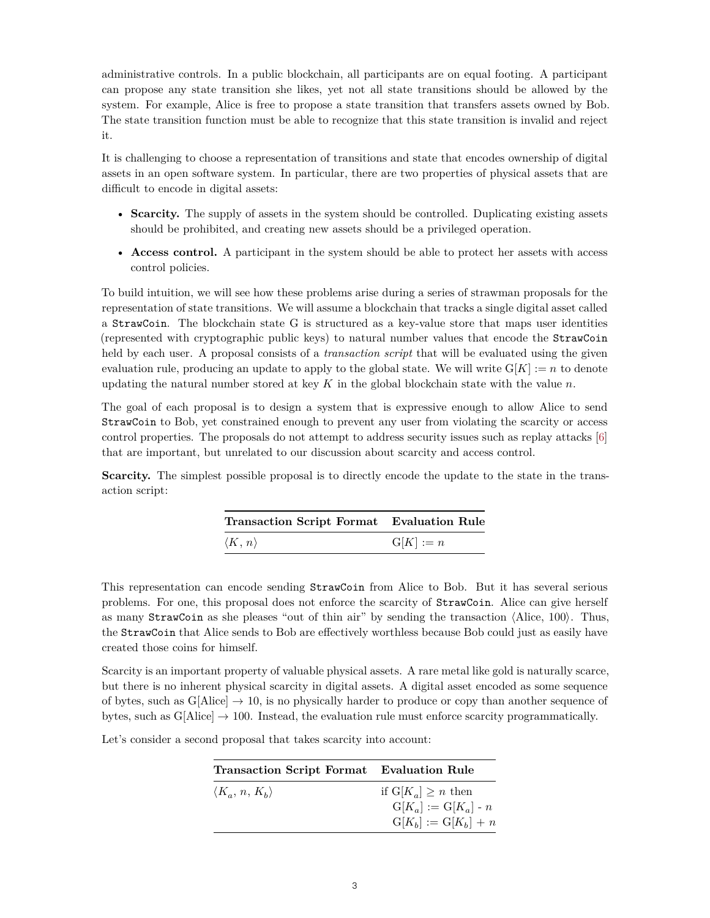administrative controls. In a public blockchain, all participants are on equal footing. A participant can propose any state transition she likes, yet not all state transitions should be allowed by the system. For example, Alice is free to propose a state transition that transfers assets owned by Bob. The state transition function must be able to recognize that this state transition is invalid and reject it.

It is challenging to choose a representation of transitions and state that encodes ownership of digital assets in an open software system. In particular, there are two properties of physical assets that are difficult to encode in digital assets:

- **Scarcity.** The supply of assets in the system should be controlled. Duplicating existing assets should be prohibited, and creating new assets should be a privileged operation.
- **Access control.** A participant in the system should be able to protect her assets with access control policies.

To build intuition, we will see how these problems arise during a series of strawman proposals for the representation of state transitions. We will assume a blockchain that tracks a single digital asset called a StrawCoin. The blockchain state G is structured as a key-value store that maps user identities (represented with cryptographic public keys) to natural number values that encode the StrawCoin held by each user. A proposal consists of a *transaction script* that will be evaluated using the given evaluation rule, producing an update to apply to the global state. We will write  $G[K] := n$  to denote updating the natural number stored at key  $K$  in the global blockchain state with the value  $n$ .

The goal of each proposal is to design a system that is expressive enough to allow Alice to send StrawCoin to Bob, yet constrained enough to prevent any user from violating the scarcity or access control properties. The proposals do not attempt to address security issues such as replay attacks [\[6](#page-24-5)] that are important, but unrelated to our discussion about scarcity and access control.

**Scarcity.** The simplest possible proposal is to directly encode the update to the state in the transaction script:

| <b>Transaction Script Format</b> Evaluation Rule |             |
|--------------------------------------------------|-------------|
| $\langle K, n \rangle$                           | $G[K] := n$ |

This representation can encode sending StrawCoin from Alice to Bob. But it has several serious problems. For one, this proposal does not enforce the scarcity of StrawCoin. Alice can give herself as many StrawCoin as she pleases "out of thin air" by sending the transaction ⟨Alice, 100⟩. Thus, the StrawCoin that Alice sends to Bob are effectively worthless because Bob could just as easily have created those coins for himself.

Scarcity is an important property of valuable physical assets. A rare metal like gold is naturally scarce, but there is no inherent physical scarcity in digital assets. A digital asset encoded as some sequence of bytes, such as G[Alice]  $\rightarrow$  10, is no physically harder to produce or copy than another sequence of bytes, such as  $G[Alice] \rightarrow 100$ . Instead, the evaluation rule must enforce scarcity programmatically.

Let's consider a second proposal that takes scarcity into account:

| <b>Transaction Script Format</b> Evaluation Rule |                                |
|--------------------------------------------------|--------------------------------|
| $\langle K_a, n, K_b \rangle$                    | if $G[K_{\alpha}] \geq n$ then |
|                                                  | $G[K_{a}] := G[K_{a}] - n$     |
|                                                  | $G[K_b] := G[K_b] + n$         |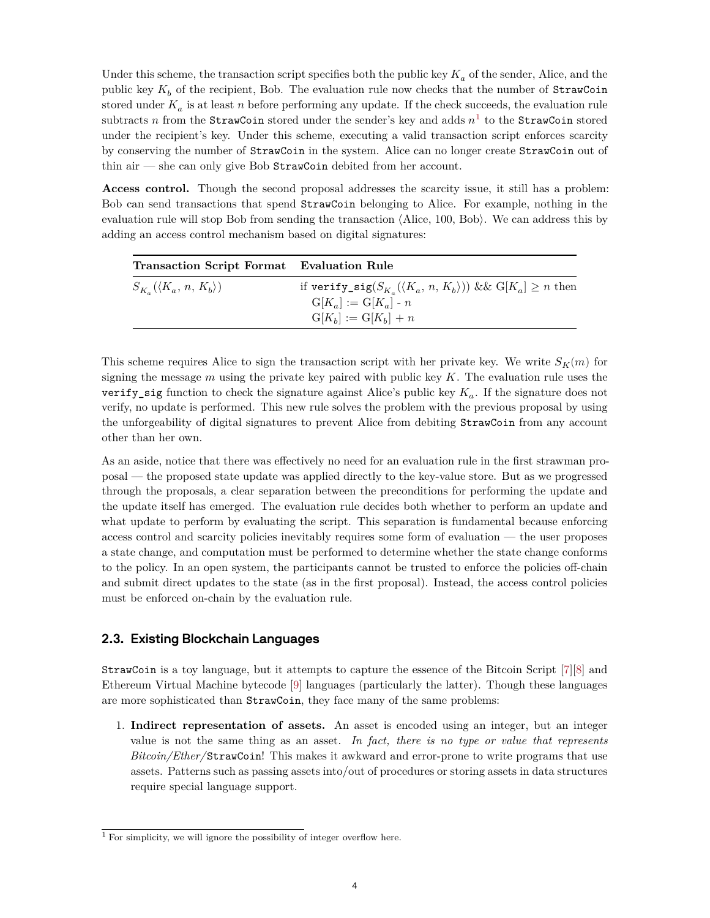Under this scheme, the transaction script specifies both the public key  $K_a$  of the sender, Alice, and the public key  $K_b$  of the recipient, Bob. The evaluation rule now checks that the number of StrawCoin stored under  $K_a$  is at least n before performing any update. If the check succeeds, the evaluation rule subtracts  $n$  from the StrawCoin stored under the sender's key and adds  $n<sup>1</sup>$  to the StrawCoin stored under the recipient's key. Under this scheme, executing a valid transaction script enforces scarcity by conserving the number of StrawCoin in the system. Alice can no longer create StrawCoin out of thin air  $-$  she can only give Bob StrawCoin debited from her account.

**Access control.** Though the second proposal addresses the scarcity issue, it still has a problem: Bob can send transactions that spend StrawCoin belonging to Alice. For example, nothing in the evaluation rule will stop Bob from sending the transaction ⟨Alice, 100, Bob⟩. We can address this by adding an access control mechanism based on digital signatures:

| Transaction Script Format Evaluation Rule |                                                                                                                                                   |
|-------------------------------------------|---------------------------------------------------------------------------------------------------------------------------------------------------|
| $S_{K_a}(\langle K_a, n, K_b \rangle)$    | if verify_sig( $S_{K_n}(\langle K_a, n, K_b \rangle)$ ) && $G[K_a] \geq n$ then<br>$G[K_{\alpha}] := G[K_{\alpha}] - n$<br>$G[K_b] := G[K_b] + n$ |

This scheme requires Alice to sign the transaction script with her private key. We write  $S_K(m)$  for signing the message  $m$  using the private key paired with public key  $K$ . The evaluation rule uses the verify\_sig function to check the signature against Alice's public key  $K_a$ . If the signature does not verify, no update is performed. This new rule solves the problem with the previous proposal by using the unforgeability of digital signatures to prevent Alice from debiting StrawCoin from any account other than her own.

As an aside, notice that there was effectively no need for an evaluation rule in the first strawman proposal — the proposed state update was applied directly to the key-value store. But as we progressed through the proposals, a clear separation between the preconditions for performing the update and the update itself has emerged. The evaluation rule decides both whether to perform an update and what update to perform by evaluating the script. This separation is fundamental because enforcing access control and scarcity policies inevitably requires some form of evaluation — the user proposes a state change, and computation must be performed to determine whether the state change conforms to the policy. In an open system, the participants cannot be trusted to enforce the policies off-chain and submit direct updates to the state (as in the first proposal). Instead, the access control policies must be enforced on-chain by the evaluation rule.

#### **2.3. Existing Blockchain Languages**

StrawCoin is a toy language, but it attempts to capture the essence of the Bitcoin Script [\[7](#page-24-6)][[8\]](#page-24-7) and Ethereum Virtual Machine bytecode [[9\]](#page-24-8) languages (particularly the latter). Though these languages are more sophisticated than StrawCoin, they face many of the same problems:

1. **Indirect representation of assets.** An asset is encoded using an integer, but an integer value is not the same thing as an asset. *In fact, there is no type or value that represents Bitcoin/Ether/*StrawCoin! This makes it awkward and error-prone to write programs that use assets. Patterns such as passing assets into/out of procedures or storing assets in data structures require special language support.

<sup>&</sup>lt;sup>1</sup> For simplicity, we will ignore the possibility of integer overflow here.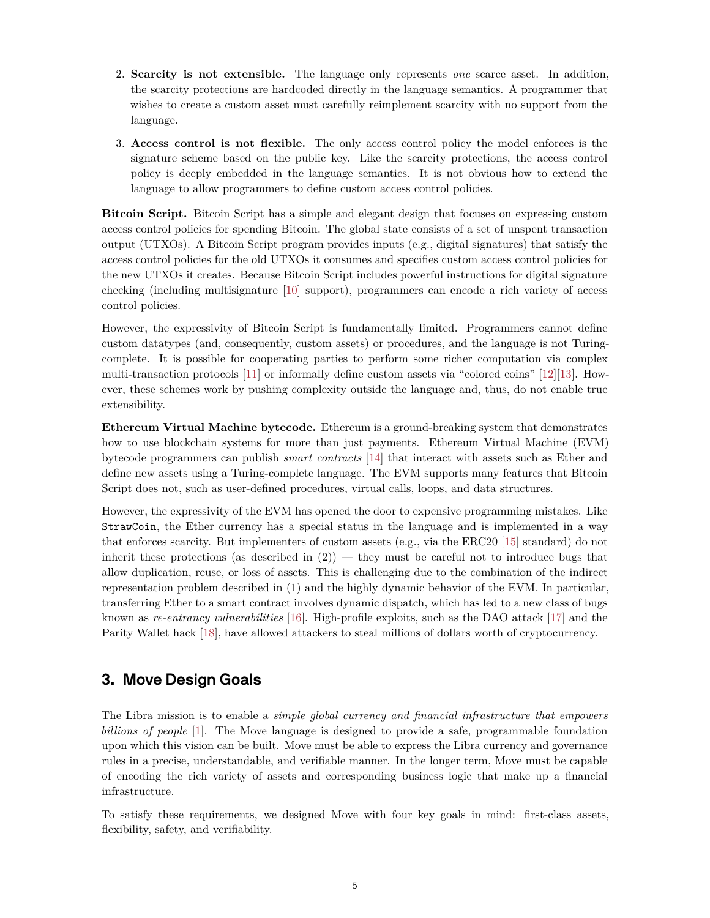- 2. **Scarcity is not extensible.** The language only represents *one* scarce asset. In addition, the scarcity protections are hardcoded directly in the language semantics. A programmer that wishes to create a custom asset must carefully reimplement scarcity with no support from the language.
- 3. **Access control is not flexible.** The only access control policy the model enforces is the signature scheme based on the public key. Like the scarcity protections, the access control policy is deeply embedded in the language semantics. It is not obvious how to extend the language to allow programmers to define custom access control policies.

**Bitcoin Script.** Bitcoin Script has a simple and elegant design that focuses on expressing custom access control policies for spending Bitcoin. The global state consists of a set of unspent transaction output (UTXOs). A Bitcoin Script program provides inputs (e.g., digital signatures) that satisfy the access control policies for the old UTXOs it consumes and specifies custom access control policies for the new UTXOs it creates. Because Bitcoin Script includes powerful instructions for digital signature checking (including multisignature [[10\]](#page-24-9) support), programmers can encode a rich variety of access control policies.

However, the expressivity of Bitcoin Script is fundamentally limited. Programmers cannot define custom datatypes (and, consequently, custom assets) or procedures, and the language is not Turingcomplete. It is possible for cooperating parties to perform some richer computation via complex multi-transaction protocols [\[11](#page-24-10)] or informally define custom assets via "colored coins" [[12\]](#page-24-11)[\[13](#page-24-12)]. However, these schemes work by pushing complexity outside the language and, thus, do not enable true extensibility.

**Ethereum Virtual Machine bytecode.** Ethereum is a ground-breaking system that demonstrates how to use blockchain systems for more than just payments. Ethereum Virtual Machine (EVM) bytecode programmers can publish *smart contracts* [\[14](#page-24-13)] that interact with assets such as Ether and define new assets using a Turing-complete language. The EVM supports many features that Bitcoin Script does not, such as user-defined procedures, virtual calls, loops, and data structures.

However, the expressivity of the EVM has opened the door to expensive programming mistakes. Like StrawCoin, the Ether currency has a special status in the language and is implemented in a way that enforces scarcity. But implementers of custom assets (e.g., via the ERC20 [\[15](#page-24-14)] standard) do not inherit these protections (as described in  $(2)$ ) — they must be careful not to introduce bugs that allow duplication, reuse, or loss of assets. This is challenging due to the combination of the indirect representation problem described in (1) and the highly dynamic behavior of the EVM. In particular, transferring Ether to a smart contract involves dynamic dispatch, which has led to a new class of bugs known as *re-entrancy vulnerabilities* [\[16](#page-24-15)]. High-profile exploits, such as the DAO attack [[17\]](#page-24-16) and the Parity Wallet hack [\[18](#page-24-17)], have allowed attackers to steal millions of dollars worth of cryptocurrency.

# <span id="page-4-0"></span>**3. Move Design Goals**

The Libra mission is to enable a *simple global currency and financial infrastructure that empowers billions of people* [\[1](#page-24-0)]. The Move language is designed to provide a safe, programmable foundation upon which this vision can be built. Move must be able to express the Libra currency and governance rules in a precise, understandable, and verifiable manner. In the longer term, Move must be capable of encoding the rich variety of assets and corresponding business logic that make up a financial infrastructure.

To satisfy these requirements, we designed Move with four key goals in mind: first-class assets, flexibility, safety, and verifiability.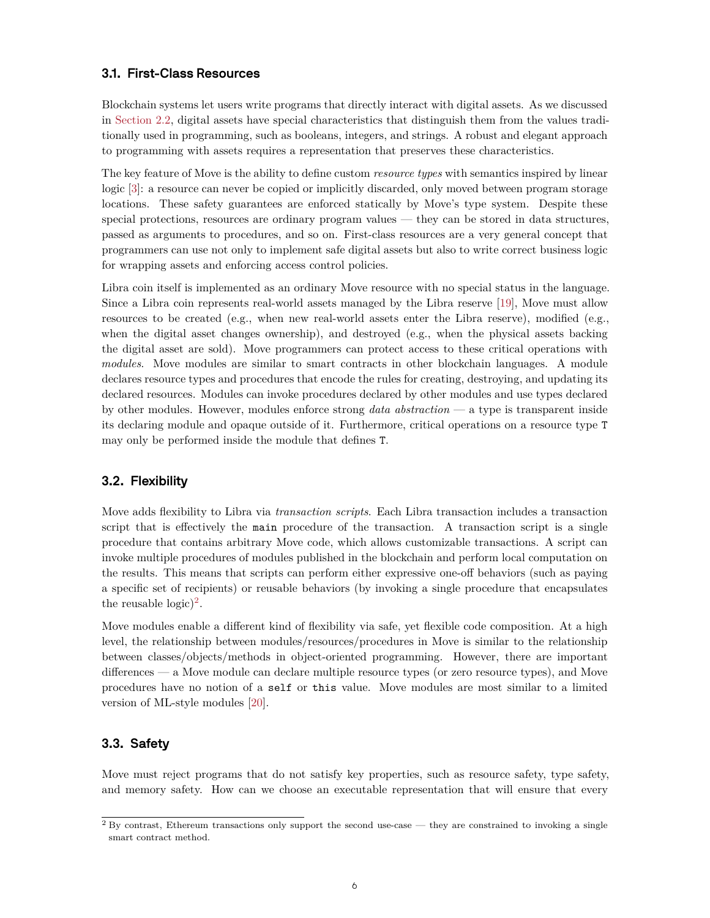#### <span id="page-5-0"></span>**3.1. First-Class Resources**

Blockchain systems let users write programs that directly interact with digital assets. As we discussed in [Section 2.2](#page-1-1), digital assets have special characteristics that distinguish them from the values traditionally used in programming, such as booleans, integers, and strings. A robust and elegant approach to programming with assets requires a representation that preserves these characteristics.

The key feature of Move is the ability to define custom *resource types* with semantics inspired by linear logic [\[3](#page-24-2)]: a resource can never be copied or implicitly discarded, only moved between program storage locations. These safety guarantees are enforced statically by Move's type system. Despite these special protections, resources are ordinary program values — they can be stored in data structures, passed as arguments to procedures, and so on. First-class resources are a very general concept that programmers can use not only to implement safe digital assets but also to write correct business logic for wrapping assets and enforcing access control policies.

Libra coin itself is implemented as an ordinary Move resource with no special status in the language. Since a Libra coin represents real-world assets managed by the Libra reserve [\[19](#page-24-18)], Move must allow resources to be created (e.g., when new real-world assets enter the Libra reserve), modified (e.g., when the digital asset changes ownership), and destroyed (e.g., when the physical assets backing the digital asset are sold). Move programmers can protect access to these critical operations with *modules*. Move modules are similar to smart contracts in other blockchain languages. A module declares resource types and procedures that encode the rules for creating, destroying, and updating its declared resources. Modules can invoke procedures declared by other modules and use types declared by other modules. However, modules enforce strong *data abstraction* — a type is transparent inside its declaring module and opaque outside of it. Furthermore, critical operations on a resource type T may only be performed inside the module that defines T.

#### <span id="page-5-1"></span>**3.2. Flexibility**

Move adds flexibility to Libra via *transaction scripts*. Each Libra transaction includes a transaction script that is effectively the main procedure of the transaction. A transaction script is a single procedure that contains arbitrary Move code, which allows customizable transactions. A script can invoke multiple procedures of modules published in the blockchain and perform local computation on the results. This means that scripts can perform either expressive one-off behaviors (such as paying a specific set of recipients) or reusable behaviors (by invoking a single procedure that encapsulates the reusable  $logic)^2$ .

Move modules enable a different kind of flexibility via safe, yet flexible code composition. At a high level, the relationship between modules/resources/procedures in Move is similar to the relationship between classes/objects/methods in object-oriented programming. However, there are important differences — a Move module can declare multiple resource types (or zero resource types), and Move procedures have no notion of a self or this value. Move modules are most similar to a limited version of ML-style modules [[20\]](#page-24-19).

#### **3.3. Safety**

Move must reject programs that do not satisfy key properties, such as resource safety, type safety, and memory safety. How can we choose an executable representation that will ensure that every

 $2$  By contrast, Ethereum transactions only support the second use-case — they are constrained to invoking a single smart contract method.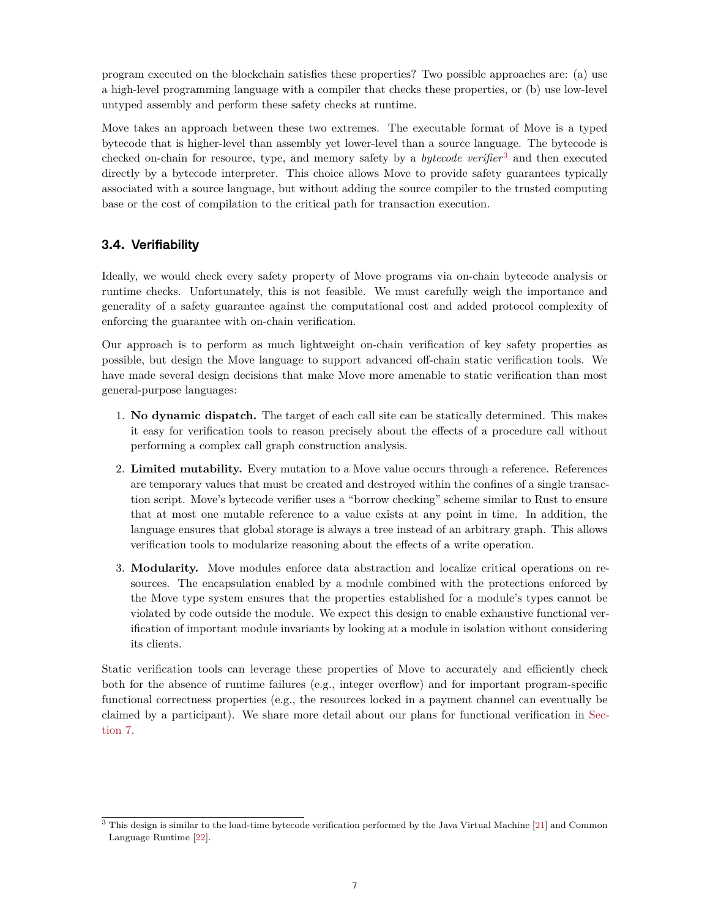program executed on the blockchain satisfies these properties? Two possible approaches are: (a) use a high-level programming language with a compiler that checks these properties, or (b) use low-level untyped assembly and perform these safety checks at runtime.

Move takes an approach between these two extremes. The executable format of Move is a typed bytecode that is higher-level than assembly yet lower-level than a source language. The bytecode is checked on-chain for resource, type, and memory safety by a *bytecode verifier*3 and then executed directly by a bytecode interpreter. This choice allows Move to provide safety guarantees typically associated with a source language, but without adding the source compiler to the trusted computing base or the cost of compilation to the critical path for transaction execution.

# <span id="page-6-0"></span>**3.4. Verifiability**

Ideally, we would check every safety property of Move programs via on-chain bytecode analysis or runtime checks. Unfortunately, this is not feasible. We must carefully weigh the importance and generality of a safety guarantee against the computational cost and added protocol complexity of enforcing the guarantee with on-chain verification.

Our approach is to perform as much lightweight on-chain verification of key safety properties as possible, but design the Move language to support advanced off-chain static verification tools. We have made several design decisions that make Move more amenable to static verification than most general-purpose languages:

- 1. **No dynamic dispatch.** The target of each call site can be statically determined. This makes it easy for verification tools to reason precisely about the effects of a procedure call without performing a complex call graph construction analysis.
- 2. **Limited mutability.** Every mutation to a Move value occurs through a reference. References are temporary values that must be created and destroyed within the confines of a single transaction script. Move's bytecode verifier uses a "borrow checking" scheme similar to Rust to ensure that at most one mutable reference to a value exists at any point in time. In addition, the language ensures that global storage is always a tree instead of an arbitrary graph. This allows verification tools to modularize reasoning about the effects of a write operation.
- 3. **Modularity.** Move modules enforce data abstraction and localize critical operations on resources. The encapsulation enabled by a module combined with the protections enforced by the Move type system ensures that the properties established for a module's types cannot be violated by code outside the module. We expect this design to enable exhaustive functional verification of important module invariants by looking at a module in isolation without considering its clients.

Static verification tools can leverage these properties of Move to accurately and efficiently check both for the absence of runtime failures (e.g., integer overflow) and for important program-specific functional correctness properties (e.g., the resources locked in a payment channel can eventually be claimed by a participant). We share more detail about our plans for functional verification in [Sec](#page-18-0)[tion 7](#page-18-0).

<sup>3</sup> This design is similar to the load-time bytecode verification performed by the Java Virtual Machine [[21](#page-24-20)] and Common Language Runtime [[22](#page-24-21)].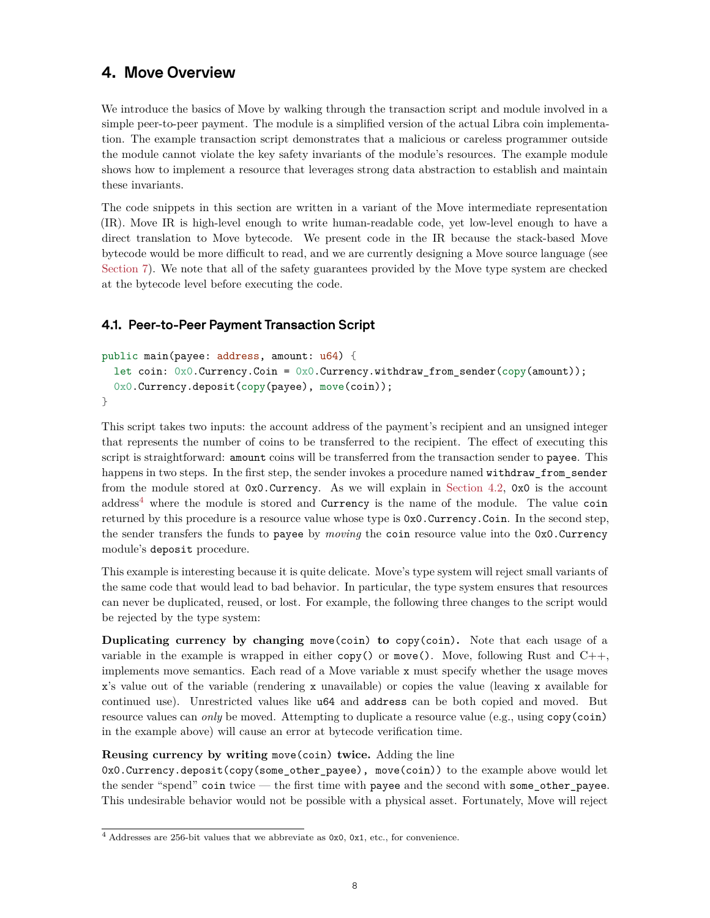# <span id="page-7-0"></span>**4. Move Overview**

We introduce the basics of Move by walking through the transaction script and module involved in a simple peer-to-peer payment. The module is a simplified version of the actual Libra coin implementation. The example transaction script demonstrates that a malicious or careless programmer outside the module cannot violate the key safety invariants of the module's resources. The example module shows how to implement a resource that leverages strong data abstraction to establish and maintain these invariants.

The code snippets in this section are written in a variant of the Move intermediate representation (IR). Move IR is high-level enough to write human-readable code, yet low-level enough to have a direct translation to Move bytecode. We present code in the IR because the stack-based Move bytecode would be more difficult to read, and we are currently designing a Move source language (see [Section 7\)](#page-18-0). We note that all of the safety guarantees provided by the Move type system are checked at the bytecode level before executing the code.

## <span id="page-7-1"></span>**4.1. Peer-to-Peer Payment Transaction Script**

```
public main(payee: address, amount: u64) {
  let coin: 0x0. Currency. Coin = 0x0. Currency. withdraw_from_sender(copy(amount));
  0x0.Currency.deposit(copy(payee), move(coin));
}
```
This script takes two inputs: the account address of the payment's recipient and an unsigned integer that represents the number of coins to be transferred to the recipient. The effect of executing this script is straightforward: amount coins will be transferred from the transaction sender to payee. This happens in two steps. In the first step, the sender invokes a procedure named withdraw\_from\_sender from the module stored at 0x0.Currency. As we will explain in [Section 4.2,](#page-8-0) 0x0 is the account  $address<sup>4</sup>$  where the module is stored and Currency is the name of the module. The value coin returned by this procedure is a resource value whose type is  $0x0$ . Currency. Coin. In the second step, the sender transfers the funds to payee by *moving* the coin resource value into the 0x0.Currency module's deposit procedure.

This example is interesting because it is quite delicate. Move's type system will reject small variants of the same code that would lead to bad behavior. In particular, the type system ensures that resources can never be duplicated, reused, or lost. For example, the following three changes to the script would be rejected by the type system:

**Duplicating currency by changing** move(coin) **to** copy(coin)**.** Note that each usage of a variable in the example is wrapped in either copy() or move(). Move, following Rust and  $C_{++}$ , implements move semantics. Each read of a Move variable x must specify whether the usage moves x's value out of the variable (rendering x unavailable) or copies the value (leaving x available for continued use). Unrestricted values like u64 and address can be both copied and moved. But resource values can *only* be moved. Attempting to duplicate a resource value (e.g., using copy(coin) in the example above) will cause an error at bytecode verification time.

#### **Reusing currency by writing** move(coin) **twice.** Adding the line

0x0.Currency.deposit(copy(some\_other\_payee), move(coin)) to the example above would let the sender "spend" coin twice — the first time with payee and the second with some\_other\_payee. This undesirable behavior would not be possible with a physical asset. Fortunately, Move will reject

 $^4$  Addresses are 256-bit values that we abbreviate as 0x0, 0x1, etc., for convenience.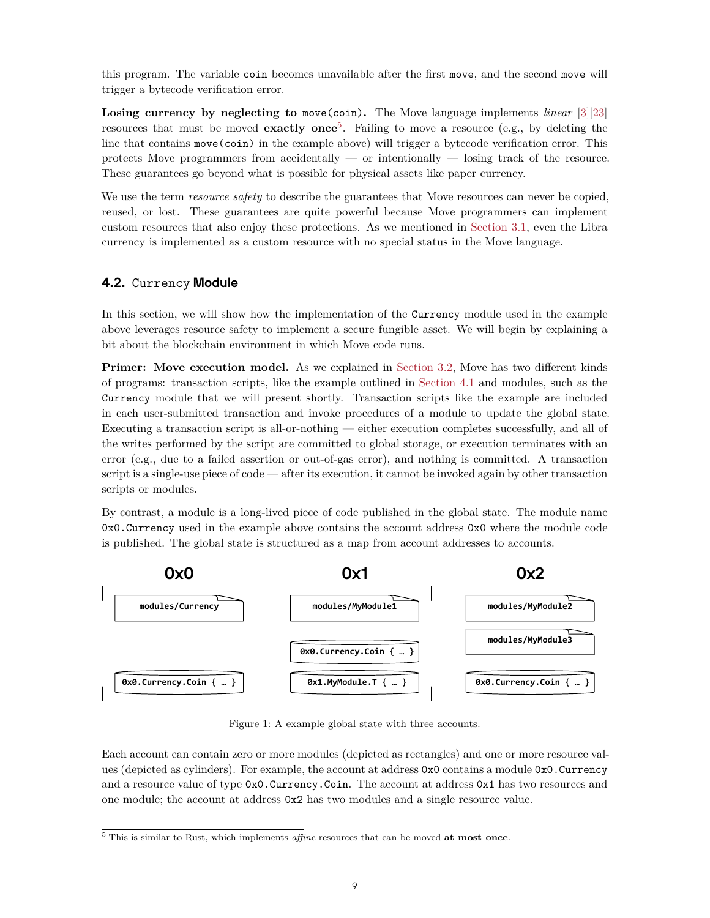this program. The variable coin becomes unavailable after the first move, and the second move will trigger a bytecode verification error.

**Losing currency by neglecting to** move(coin)**.** The Move language implements *linear* [[3\]](#page-24-2)[\[23](#page-25-0)] resources that must be moved **exactly once**5 . Failing to move a resource (e.g., by deleting the line that contains move(coin) in the example above) will trigger a bytecode verification error. This protects Move programmers from accidentally — or intentionally — losing track of the resource. These guarantees go beyond what is possible for physical assets like paper currency.

We use the term *resource safety* to describe the guarantees that Move resources can never be copied, reused, or lost. These guarantees are quite powerful because Move programmers can implement custom resources that also enjoy these protections. As we mentioned in [Section 3.1](#page-5-0), even the Libra currency is implemented as a custom resource with no special status in the Move language.

#### <span id="page-8-0"></span>**4.2.** Currency **Module**

In this section, we will show how the implementation of the Currency module used in the example above leverages resource safety to implement a secure fungible asset. We will begin by explaining a bit about the blockchain environment in which Move code runs.

**Primer:** Move execution model. As we explained in [Section 3.2](#page-5-1), Move has two different kinds of programs: transaction scripts, like the example outlined in [Section 4.1](#page-7-1) and modules, such as the Currency module that we will present shortly. Transaction scripts like the example are included in each user-submitted transaction and invoke procedures of a module to update the global state. Executing a transaction script is all-or-nothing — either execution completes successfully, and all of the writes performed by the script are committed to global storage, or execution terminates with an error (e.g., due to a failed assertion or out-of-gas error), and nothing is committed. A transaction script is a single-use piece of code — after its execution, it cannot be invoked again by other transaction scripts or modules.

By contrast, a module is a long-lived piece of code published in the global state. The module name 0x0.Currency used in the example above contains the account address 0x0 where the module code is published. The global state is structured as a map from account addresses to accounts.



Figure 1: A example global state with three accounts.

Each account can contain zero or more modules (depicted as rectangles) and one or more resource values (depicted as cylinders). For example, the account at address 0x0 contains a module 0x0.Currency and a resource value of type  $0x0$ . Currency. Coin. The account at address  $0x1$  has two resources and one module; the account at address 0x2 has two modules and a single resource value.

<sup>5</sup> This is similar to Rust, which implements *affine* resources that can be moved **at most once**.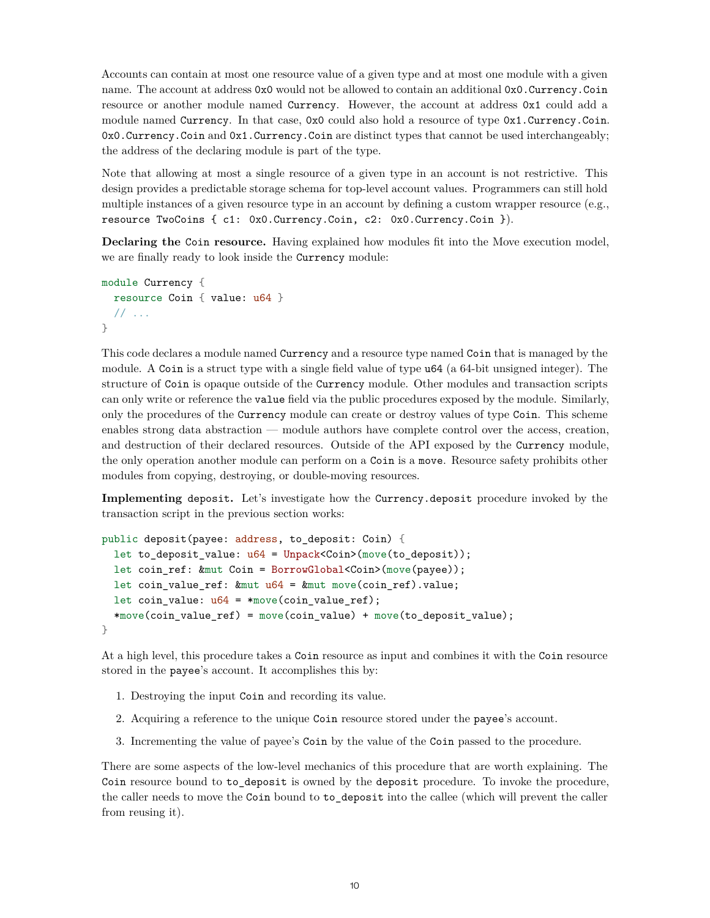Accounts can contain at most one resource value of a given type and at most one module with a given name. The account at address 0x0 would not be allowed to contain an additional 0x0.Currency.Coin resource or another module named Currency. However, the account at address 0x1 could add a module named Currency. In that case, 0x0 could also hold a resource of type 0x1.Currency.Coin. 0x0.Currency.Coin and 0x1.Currency.Coin are distinct types that cannot be used interchangeably; the address of the declaring module is part of the type.

Note that allowing at most a single resource of a given type in an account is not restrictive. This design provides a predictable storage schema for top-level account values. Programmers can still hold multiple instances of a given resource type in an account by defining a custom wrapper resource (e.g., resource TwoCoins { c1: 0x0.Currency.Coin, c2: 0x0.Currency.Coin }).

**Declaring the** Coin **resource.** Having explained how modules fit into the Move execution model, we are finally ready to look inside the Currency module:

```
module Currency {
  resource Coin { value: u64 }
  // ...
}
```
This code declares a module named Currency and a resource type named Coin that is managed by the module. A Coin is a struct type with a single field value of type u64 (a 64-bit unsigned integer). The structure of Coin is opaque outside of the Currency module. Other modules and transaction scripts can only write or reference the value field via the public procedures exposed by the module. Similarly, only the procedures of the Currency module can create or destroy values of type Coin. This scheme enables strong data abstraction — module authors have complete control over the access, creation, and destruction of their declared resources. Outside of the API exposed by the Currency module, the only operation another module can perform on a Coin is a move. Resource safety prohibits other modules from copying, destroying, or double-moving resources.

**Implementing** deposit**.** Let's investigate how the Currency.deposit procedure invoked by the transaction script in the previous section works:

```
public deposit(payee: address, to_deposit: Coin) {
  let to_deposit_value: u64 = Unpack<Coin>(move(to_deposit));
  let coin_ref: &mut Coin = BorrowGlobal<Coin>(move(payee));
  let coin_value_ref: kmut u64 = kmut move(coin_ref).value;
  let coin_value: u64 = *move(coin_value_ref);*move(coin_value_ref) = move(coin_value) + move(to_deposit_value);
}
```
At a high level, this procedure takes a Coin resource as input and combines it with the Coin resource stored in the payee's account. It accomplishes this by:

- 1. Destroying the input Coin and recording its value.
- 2. Acquiring a reference to the unique Coin resource stored under the payee's account.
- 3. Incrementing the value of payee's Coin by the value of the Coin passed to the procedure.

There are some aspects of the low-level mechanics of this procedure that are worth explaining. The Coin resource bound to to\_deposit is owned by the deposit procedure. To invoke the procedure, the caller needs to move the Coin bound to to\_deposit into the callee (which will prevent the caller from reusing it).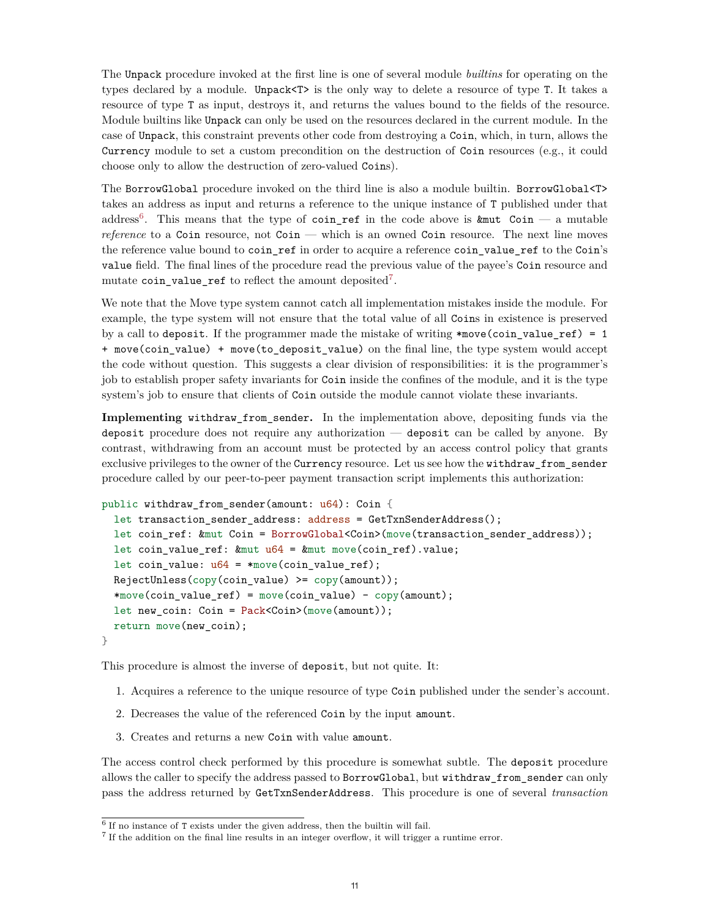The Unpack procedure invoked at the first line is one of several module *builtins* for operating on the types declared by a module. Unpack<T> is the only way to delete a resource of type T. It takes a resource of type T as input, destroys it, and returns the values bound to the fields of the resource. Module builtins like Unpack can only be used on the resources declared in the current module. In the case of Unpack, this constraint prevents other code from destroying a Coin, which, in turn, allows the Currency module to set a custom precondition on the destruction of Coin resources (e.g., it could choose only to allow the destruction of zero-valued Coins).

The BorrowGlobal procedure invoked on the third line is also a module builtin. BorrowGlobal<T> takes an address as input and returns a reference to the unique instance of T published under that address<sup>6</sup>. This means that the type of coin\_ref in the code above is  $k$ mut Coin — a mutable *reference* to a Coin resource, not Coin — which is an owned Coin resource. The next line moves the reference value bound to coin\_ref in order to acquire a reference coin\_value\_ref to the Coin's value field. The final lines of the procedure read the previous value of the payee's Coin resource and mutate  $\text{coin\_value\_ref}$  to reflect the amount deposited<sup>7</sup>.

We note that the Move type system cannot catch all implementation mistakes inside the module. For example, the type system will not ensure that the total value of all Coins in existence is preserved by a call to deposit. If the programmer made the mistake of writing \*move(coin\_value\_ref) = 1 + move(coin\_value) + move(to\_deposit\_value) on the final line, the type system would accept the code without question. This suggests a clear division of responsibilities: it is the programmer's job to establish proper safety invariants for Coin inside the confines of the module, and it is the type system's job to ensure that clients of Coin outside the module cannot violate these invariants.

**Implementing** withdraw\_from\_sender**.** In the implementation above, depositing funds via the deposit procedure does not require any authorization — deposit can be called by anyone. By contrast, withdrawing from an account must be protected by an access control policy that grants exclusive privileges to the owner of the Currency resource. Let us see how the withdraw\_from\_sender procedure called by our peer-to-peer payment transaction script implements this authorization:

```
public withdraw_from_sender(amount: u64): Coin {
 let transaction_sender_address: address = GetTxnSenderAddress();
 let coin_ref: &mut Coin = BorrowGlobal<Coin>(move(transaction_sender_address));
 let coin_value_ref: kmut u64 = kmut move(coin_ref).value;
 let coin value: u64 = *move(coin value ref);RejectUnless (copy(coin_value) >= copy(amount));
 *move(coin value ref) = move(coin value) - copy(amount);
 let new_coin: Coin = Pack<Coin>(move(amount));
 return move(new_coin);
}
```
This procedure is almost the inverse of deposit, but not quite. It:

- 1. Acquires a reference to the unique resource of type Coin published under the sender's account.
- 2. Decreases the value of the referenced Coin by the input amount.
- 3. Creates and returns a new Coin with value amount.

The access control check performed by this procedure is somewhat subtle. The deposit procedure allows the caller to specify the address passed to BorrowGlobal, but withdraw\_from\_sender can only pass the address returned by GetTxnSenderAddress. This procedure is one of several *transaction*

<sup>6</sup> If no instance of T exists under the given address, then the builtin will fail.

<sup>&</sup>lt;sup>7</sup> If the addition on the final line results in an integer overflow, it will trigger a runtime error.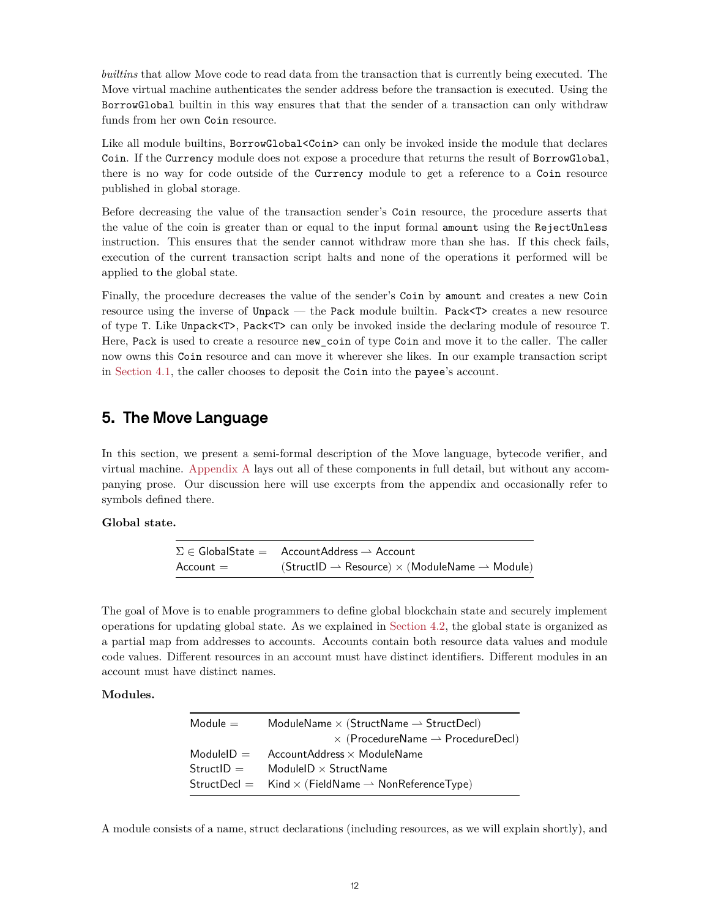*builtins* that allow Move code to read data from the transaction that is currently being executed. The Move virtual machine authenticates the sender address before the transaction is executed. Using the BorrowGlobal builtin in this way ensures that that the sender of a transaction can only withdraw funds from her own Coin resource.

Like all module builtins, BorrowGlobal<Coin> can only be invoked inside the module that declares Coin. If the Currency module does not expose a procedure that returns the result of BorrowGlobal, there is no way for code outside of the Currency module to get a reference to a Coin resource published in global storage.

Before decreasing the value of the transaction sender's Coin resource, the procedure asserts that the value of the coin is greater than or equal to the input formal amount using the RejectUnless instruction. This ensures that the sender cannot withdraw more than she has. If this check fails, execution of the current transaction script halts and none of the operations it performed will be applied to the global state.

Finally, the procedure decreases the value of the sender's Coin by amount and creates a new Coin resource using the inverse of Unpack — the Pack module builtin. Pack<T> creates a new resource of type T. Like Unpack<T>, Pack<T> can only be invoked inside the declaring module of resource T. Here, Pack is used to create a resource new coin of type Coin and move it to the caller. The caller now owns this Coin resource and can move it wherever she likes. In our example transaction script in [Section 4.1](#page-7-1), the caller chooses to deposit the Coin into the payee's account.

# <span id="page-11-0"></span>**5. The Move Language**

In this section, we present a semi-formal description of the Move language, bytecode verifier, and virtual machine. [Appendix A](#page-20-0) lays out all of these components in full detail, but without any accompanying prose. Our discussion here will use excerpts from the appendix and occasionally refer to symbols defined there.

#### **Global state.**

 $\Sigma \in \mathsf{GlobalState} = \mathsf{AccountAddress} \rightarrow \mathsf{Account}$  $Account = (StructID \rightarrow Resource) \times (ModuleName \rightarrow Module)$ 

The goal of Move is to enable programmers to define global blockchain state and securely implement operations for updating global state. As we explained in [Section 4.2,](#page-8-0) the global state is organized as a partial map from addresses to accounts. Accounts contain both resource data values and module code values. Different resources in an account must have distinct identifiers. Different modules in an account must have distinct names.

#### **Modules.**

| $Module =$   | ModuleName $\times$ (StructName $\rightarrow$ StructDecl)                     |
|--------------|-------------------------------------------------------------------------------|
|              | $\times$ (ProcedureName $\rightarrow$ ProcedureDecl)                          |
| $ModuleID =$ | AccountAddress $\times$ ModuleName                                            |
| $StructID =$ | ModuleID $\times$ StructName                                                  |
|              | StructDecl = $\quad$ Kind $\times$ (FieldName $\rightarrow$ NonReferenceType) |
|              |                                                                               |

A module consists of a name, struct declarations (including resources, as we will explain shortly), and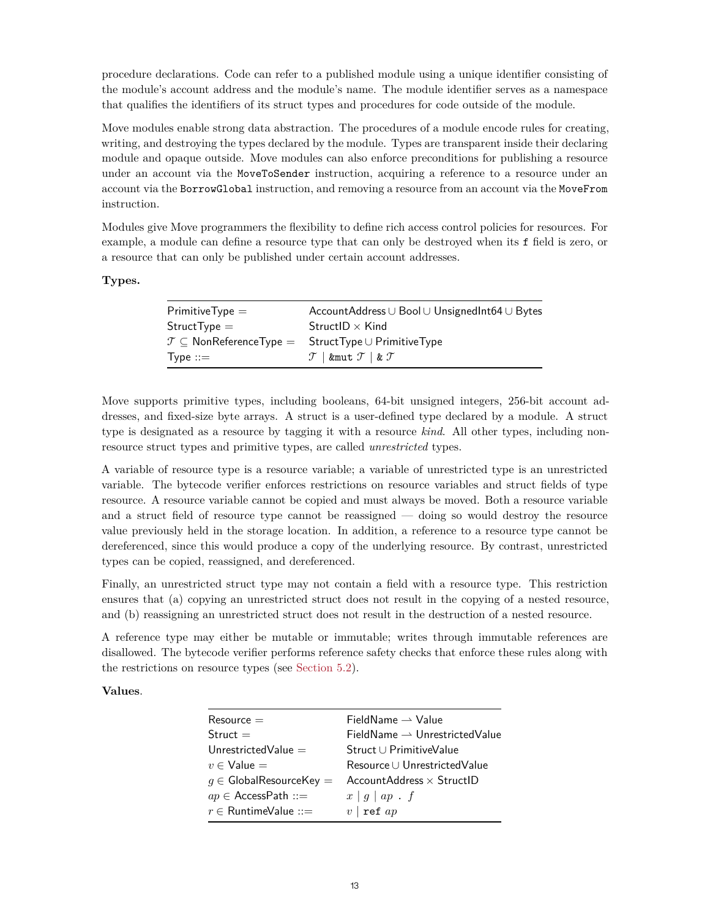procedure declarations. Code can refer to a published module using a unique identifier consisting of the module's account address and the module's name. The module identifier serves as a namespace that qualifies the identifiers of its struct types and procedures for code outside of the module.

Move modules enable strong data abstraction. The procedures of a module encode rules for creating, writing, and destroying the types declared by the module. Types are transparent inside their declaring module and opaque outside. Move modules can also enforce preconditions for publishing a resource under an account via the MoveToSender instruction, acquiring a reference to a resource under an account via the BorrowGlobal instruction, and removing a resource from an account via the MoveFrom instruction.

Modules give Move programmers the flexibility to define rich access control policies for resources. For example, a module can define a resource type that can only be destroyed when its f field is zero, or a resource that can only be published under certain account addresses.

**Types.**

| $\mathsf{PrimitiveType} = \mathsf{[}$ | AccountAddress ∪ Bool ∪ UnsignedInt64 ∪ Bytes                                                       |
|---------------------------------------|-----------------------------------------------------------------------------------------------------|
| $\mathsf{StructType}=$                | StructID $\times$ Kind                                                                              |
|                                       | $\mathcal{T} \subseteq \mathsf{NonReferenceType} = \mathsf{StructType} \cup \mathsf{PrimitiveType}$ |
| $\mathsf{Type} ::= \mathsf{[}$        | $\mathcal{T}$   &mut $\mathcal{T}$   & $\mathcal{T}$                                                |

Move supports primitive types, including booleans, 64-bit unsigned integers, 256-bit account addresses, and fixed-size byte arrays. A struct is a user-defined type declared by a module. A struct type is designated as a resource by tagging it with a resource *kind*. All other types, including nonresource struct types and primitive types, are called *unrestricted* types.

A variable of resource type is a resource variable; a variable of unrestricted type is an unrestricted variable. The bytecode verifier enforces restrictions on resource variables and struct fields of type resource. A resource variable cannot be copied and must always be moved. Both a resource variable and a struct field of resource type cannot be reassigned — doing so would destroy the resource value previously held in the storage location. In addition, a reference to a resource type cannot be dereferenced, since this would produce a copy of the underlying resource. By contrast, unrestricted types can be copied, reassigned, and dereferenced.

Finally, an unrestricted struct type may not contain a field with a resource type. This restriction ensures that (a) copying an unrestricted struct does not result in the copying of a nested resource, and (b) reassigning an unrestricted struct does not result in the destruction of a nested resource.

A reference type may either be mutable or immutable; writes through immutable references are disallowed. The bytecode verifier performs reference safety checks that enforce these rules along with the restrictions on resource types (see [Section 5.2](#page-15-0)).

**Values**.

| $Resource =$                         | FieldName $\rightharpoonup$ Value         |
|--------------------------------------|-------------------------------------------|
| $Struct =$                           | $FieldName \rightarrow UnrestrictedValue$ |
| Unrestricted Value $=$               | Struct ∪ PrimitiveValue                   |
| $v \in V$ alue $=$                   | Resource U Unrestricted Value             |
| $g \in \mathsf{GlobalResourceKey} =$ | AccountAddress $\times$ StructID          |
| $ap \in AccessPath ::=$              | $x \mid g \mid ap \cdot f$                |
| $r \in$ RuntimeValue ::=             | $v \mid \text{ref}$ ap                    |
|                                      |                                           |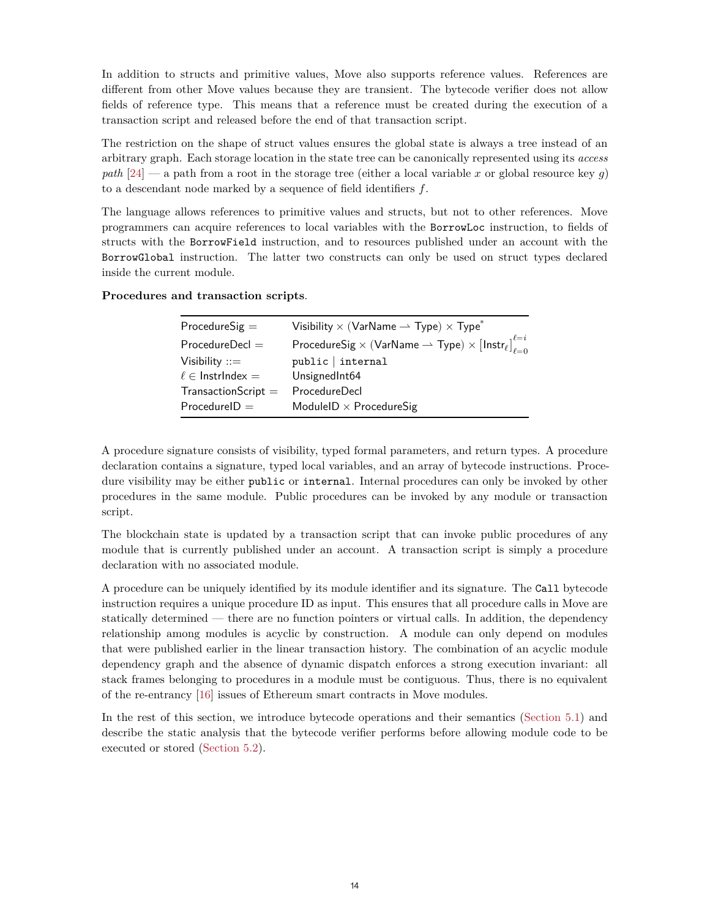In addition to structs and primitive values, Move also supports reference values. References are different from other Move values because they are transient. The bytecode verifier does not allow fields of reference type. This means that a reference must be created during the execution of a transaction script and released before the end of that transaction script.

The restriction on the shape of struct values ensures the global state is always a tree instead of an arbitrary graph. Each storage location in the state tree can be canonically represented using its *access path*  $[24]$  $[24]$  — a path from a root in the storage tree (either a local variable x or global resource key q) to a descendant node marked by a sequence of field identifiers  $f$ .

The language allows references to primitive values and structs, but not to other references. Move programmers can acquire references to local variables with the BorrowLoc instruction, to fields of structs with the BorrowField instruction, and to resources published under an account with the BorrowGlobal instruction. The latter two constructs can only be used on struct types declared inside the current module.

#### **Procedures and transaction scripts**.

| $ProceedureSig =$       | Visibility $\times$ (VarName $\rightarrow$ Type) $\times$ Type <sup>*</sup>                             |
|-------------------------|---------------------------------------------------------------------------------------------------------|
| Procedure               | ProcedureSig $\times$ (VarName $\rightharpoonup$ Type) $\times$ [Instr $_{\ell}$ ] $_{\ell=0}^{\ell=i}$ |
| Visibility $ ::=$       | public   internal                                                                                       |
| $\ell \in$ InstrIndex = | UnsignedInt64                                                                                           |
| $TransactionScript =$   | ProcedureDecl                                                                                           |
| $ProcedureID =$         | ModuleID $\times$ ProcedureSig                                                                          |

A procedure signature consists of visibility, typed formal parameters, and return types. A procedure declaration contains a signature, typed local variables, and an array of bytecode instructions. Procedure visibility may be either public or internal. Internal procedures can only be invoked by other procedures in the same module. Public procedures can be invoked by any module or transaction script.

The blockchain state is updated by a transaction script that can invoke public procedures of any module that is currently published under an account. A transaction script is simply a procedure declaration with no associated module.

A procedure can be uniquely identified by its module identifier and its signature. The Call bytecode instruction requires a unique procedure ID as input. This ensures that all procedure calls in Move are statically determined — there are no function pointers or virtual calls. In addition, the dependency relationship among modules is acyclic by construction. A module can only depend on modules that were published earlier in the linear transaction history. The combination of an acyclic module dependency graph and the absence of dynamic dispatch enforces a strong execution invariant: all stack frames belonging to procedures in a module must be contiguous. Thus, there is no equivalent of the re-entrancy [[16\]](#page-24-15) issues of Ethereum smart contracts in Move modules.

In the rest of this section, we introduce bytecode operations and their semantics [\(Section 5.1](#page-14-0)) and describe the static analysis that the bytecode verifier performs before allowing module code to be executed or stored [\(Section 5.2\)](#page-15-0).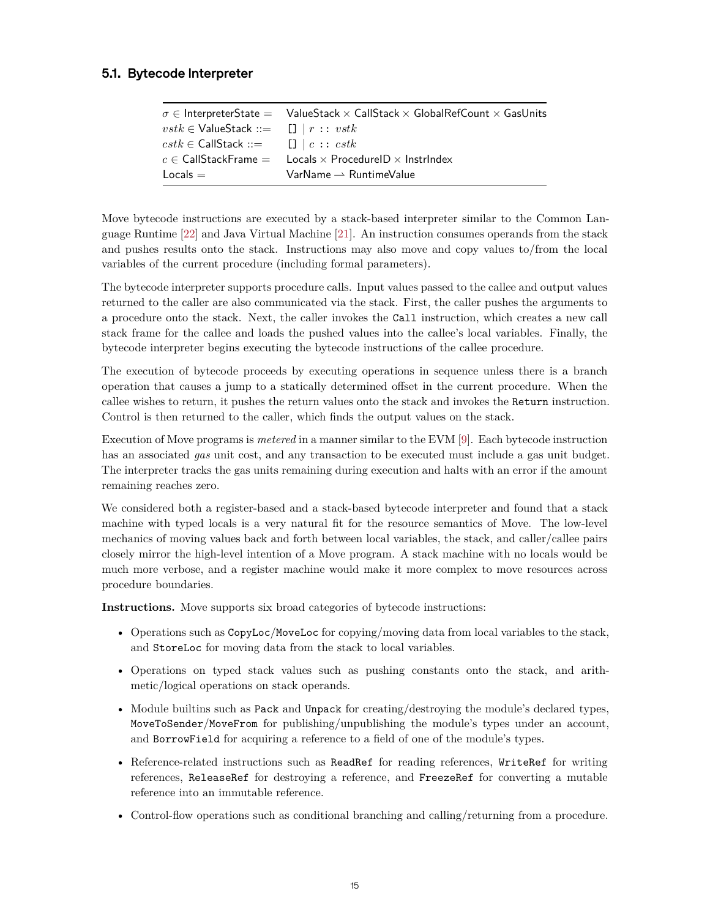## <span id="page-14-0"></span>**5.1. Bytecode Interpreter**

| $\sigma \in$ InterpreterState = ValueStack $\times$ CallStack $\times$ GlobalRefCount $\times$ GasUnits   |
|-----------------------------------------------------------------------------------------------------------|
| $vstk \in$ ValueStack ::= $\Box$   $r :: vstk$                                                            |
| $\mathit{cstk} \in \mathsf{CallStack} ::= \Box \   \ c :: \mathit{cstk}$                                  |
| $c \in \mathsf{CallStackFrame} = \mathsf{Locals} \times \mathsf{ProceedureID} \times \mathsf{InstrIndex}$ |
| $VarName \rightarrow RuntimeValue$                                                                        |
|                                                                                                           |

Move bytecode instructions are executed by a stack-based interpreter similar to the Common Language Runtime [\[22](#page-24-21)] and Java Virtual Machine [\[21](#page-24-20)]. An instruction consumes operands from the stack and pushes results onto the stack. Instructions may also move and copy values to/from the local variables of the current procedure (including formal parameters).

The bytecode interpreter supports procedure calls. Input values passed to the callee and output values returned to the caller are also communicated via the stack. First, the caller pushes the arguments to a procedure onto the stack. Next, the caller invokes the Call instruction, which creates a new call stack frame for the callee and loads the pushed values into the callee's local variables. Finally, the bytecode interpreter begins executing the bytecode instructions of the callee procedure.

The execution of bytecode proceeds by executing operations in sequence unless there is a branch operation that causes a jump to a statically determined offset in the current procedure. When the callee wishes to return, it pushes the return values onto the stack and invokes the Return instruction. Control is then returned to the caller, which finds the output values on the stack.

Execution of Move programs is *metered* in a manner similar to the EVM [[9\]](#page-24-8). Each bytecode instruction has an associated *gas* unit cost, and any transaction to be executed must include a gas unit budget. The interpreter tracks the gas units remaining during execution and halts with an error if the amount remaining reaches zero.

We considered both a register-based and a stack-based bytecode interpreter and found that a stack machine with typed locals is a very natural fit for the resource semantics of Move. The low-level mechanics of moving values back and forth between local variables, the stack, and caller/callee pairs closely mirror the high-level intention of a Move program. A stack machine with no locals would be much more verbose, and a register machine would make it more complex to move resources across procedure boundaries.

**Instructions.** Move supports six broad categories of bytecode instructions:

- Operations such as  $CopyLoc/MoveLoc$  for copying/moving data from local variables to the stack, and StoreLoc for moving data from the stack to local variables.
- Operations on typed stack values such as pushing constants onto the stack, and arithmetic/logical operations on stack operands.
- Module builtins such as Pack and Unpack for creating/destroying the module's declared types, MoveToSender/MoveFrom for publishing/unpublishing the module's types under an account, and BorrowField for acquiring a reference to a field of one of the module's types.
- Reference-related instructions such as ReadRef for reading references, WriteRef for writing references, ReleaseRef for destroying a reference, and FreezeRef for converting a mutable reference into an immutable reference.
- Control-flow operations such as conditional branching and calling/returning from a procedure.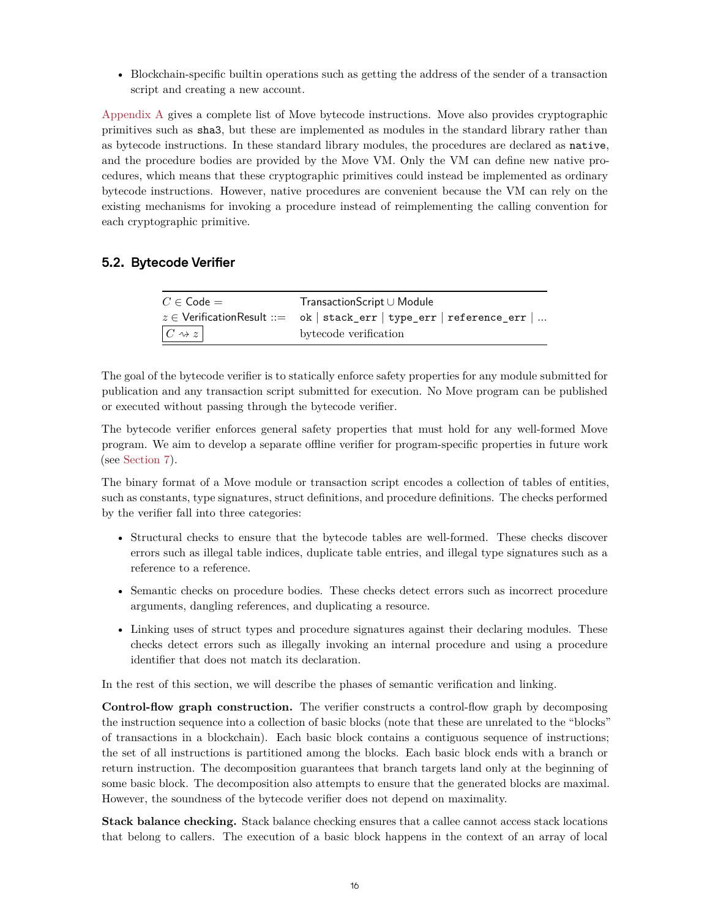• Blockchain-specific builtin operations such as getting the address of the sender of a transaction script and creating a new account.

[Appendix A](#page-20-0) gives a complete list of Move bytecode instructions. Move also provides cryptographic primitives such as sha3, but these are implemented as modules in the standard library rather than as bytecode instructions. In these standard library modules, the procedures are declared as native, and the procedure bodies are provided by the Move VM. Only the VM can define new native procedures, which means that these cryptographic primitives could instead be implemented as ordinary bytecode instructions. However, native procedures are convenient because the VM can rely on the existing mechanisms for invoking a procedure instead of reimplementing the calling convention for each cryptographic primitive.

## <span id="page-15-0"></span>**5.2. Bytecode Verifier**

| $C \in \mathsf{Code} =$  | $TransactionScript \cup Module$                                           |
|--------------------------|---------------------------------------------------------------------------|
|                          | $z \in$ Verification Result ::= ok   stack_err   type_err   reference_err |
| $ C \rightsquigarrow z $ | bytecode verification                                                     |

The goal of the bytecode verifier is to statically enforce safety properties for any module submitted for publication and any transaction script submitted for execution. No Move program can be published or executed without passing through the bytecode verifier.

The bytecode verifier enforces general safety properties that must hold for any well-formed Move program. We aim to develop a separate offline verifier for program-specific properties in future work (see [Section 7](#page-18-0)).

The binary format of a Move module or transaction script encodes a collection of tables of entities, such as constants, type signatures, struct definitions, and procedure definitions. The checks performed by the verifier fall into three categories:

- Structural checks to ensure that the bytecode tables are well-formed. These checks discover errors such as illegal table indices, duplicate table entries, and illegal type signatures such as a reference to a reference.
- Semantic checks on procedure bodies. These checks detect errors such as incorrect procedure arguments, dangling references, and duplicating a resource.
- Linking uses of struct types and procedure signatures against their declaring modules. These checks detect errors such as illegally invoking an internal procedure and using a procedure identifier that does not match its declaration.

In the rest of this section, we will describe the phases of semantic verification and linking.

**Control-flow graph construction.** The verifier constructs a control-flow graph by decomposing the instruction sequence into a collection of basic blocks (note that these are unrelated to the "blocks" of transactions in a blockchain). Each basic block contains a contiguous sequence of instructions; the set of all instructions is partitioned among the blocks. Each basic block ends with a branch or return instruction. The decomposition guarantees that branch targets land only at the beginning of some basic block. The decomposition also attempts to ensure that the generated blocks are maximal. However, the soundness of the bytecode verifier does not depend on maximality.

**Stack balance checking.** Stack balance checking ensures that a callee cannot access stack locations that belong to callers. The execution of a basic block happens in the context of an array of local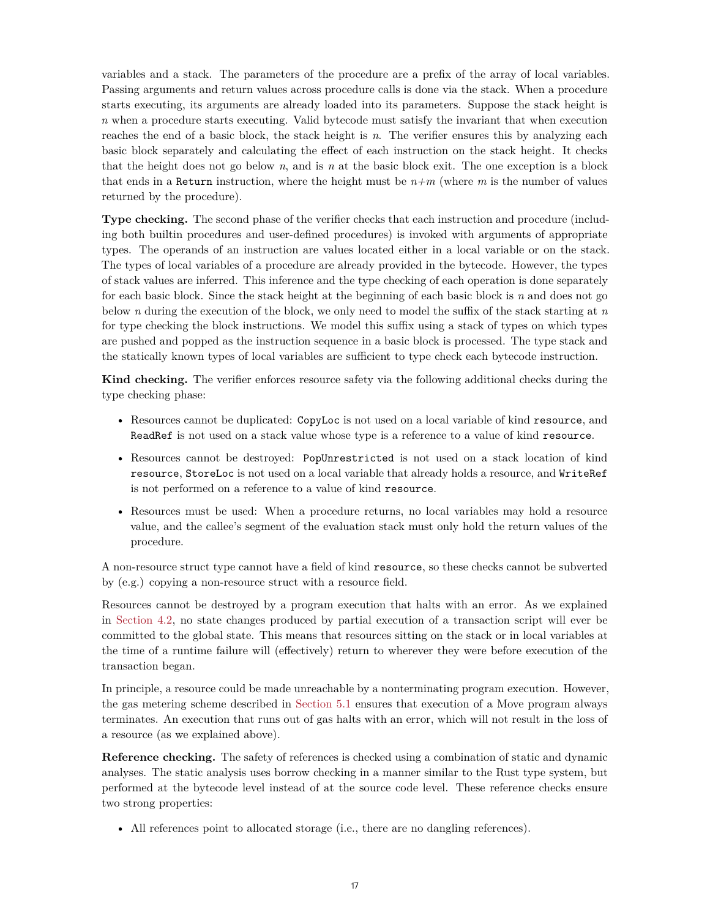variables and a stack. The parameters of the procedure are a prefix of the array of local variables. Passing arguments and return values across procedure calls is done via the stack. When a procedure starts executing, its arguments are already loaded into its parameters. Suppose the stack height is *n* when a procedure starts executing. Valid bytecode must satisfy the invariant that when execution reaches the end of a basic block, the stack height is *n*. The verifier ensures this by analyzing each basic block separately and calculating the effect of each instruction on the stack height. It checks that the height does not go below *n*, and is *n* at the basic block exit. The one exception is a block that ends in a Return instruction, where the height must be *n+m* (where *m* is the number of values returned by the procedure).

**Type checking.** The second phase of the verifier checks that each instruction and procedure (including both builtin procedures and user-defined procedures) is invoked with arguments of appropriate types. The operands of an instruction are values located either in a local variable or on the stack. The types of local variables of a procedure are already provided in the bytecode. However, the types of stack values are inferred. This inference and the type checking of each operation is done separately for each basic block. Since the stack height at the beginning of each basic block is *n* and does not go below *n* during the execution of the block, we only need to model the suffix of the stack starting at *n* for type checking the block instructions. We model this suffix using a stack of types on which types are pushed and popped as the instruction sequence in a basic block is processed. The type stack and the statically known types of local variables are sufficient to type check each bytecode instruction.

**Kind checking.** The verifier enforces resource safety via the following additional checks during the type checking phase:

- Resources cannot be duplicated: CopyLoc is not used on a local variable of kind resource, and ReadRef is not used on a stack value whose type is a reference to a value of kind resource.
- Resources cannot be destroyed: PopUnrestricted is not used on a stack location of kind resource, StoreLoc is not used on a local variable that already holds a resource, and WriteRef is not performed on a reference to a value of kind resource.
- Resources must be used: When a procedure returns, no local variables may hold a resource value, and the callee's segment of the evaluation stack must only hold the return values of the procedure.

A non-resource struct type cannot have a field of kind resource, so these checks cannot be subverted by (e.g.) copying a non-resource struct with a resource field.

Resources cannot be destroyed by a program execution that halts with an error. As we explained in [Section 4.2,](#page-8-0) no state changes produced by partial execution of a transaction script will ever be committed to the global state. This means that resources sitting on the stack or in local variables at the time of a runtime failure will (effectively) return to wherever they were before execution of the transaction began.

In principle, a resource could be made unreachable by a nonterminating program execution. However, the gas metering scheme described in [Section 5.1](#page-14-0) ensures that execution of a Move program always terminates. An execution that runs out of gas halts with an error, which will not result in the loss of a resource (as we explained above).

**Reference checking.** The safety of references is checked using a combination of static and dynamic analyses. The static analysis uses borrow checking in a manner similar to the Rust type system, but performed at the bytecode level instead of at the source code level. These reference checks ensure two strong properties:

• All references point to allocated storage (i.e., there are no dangling references).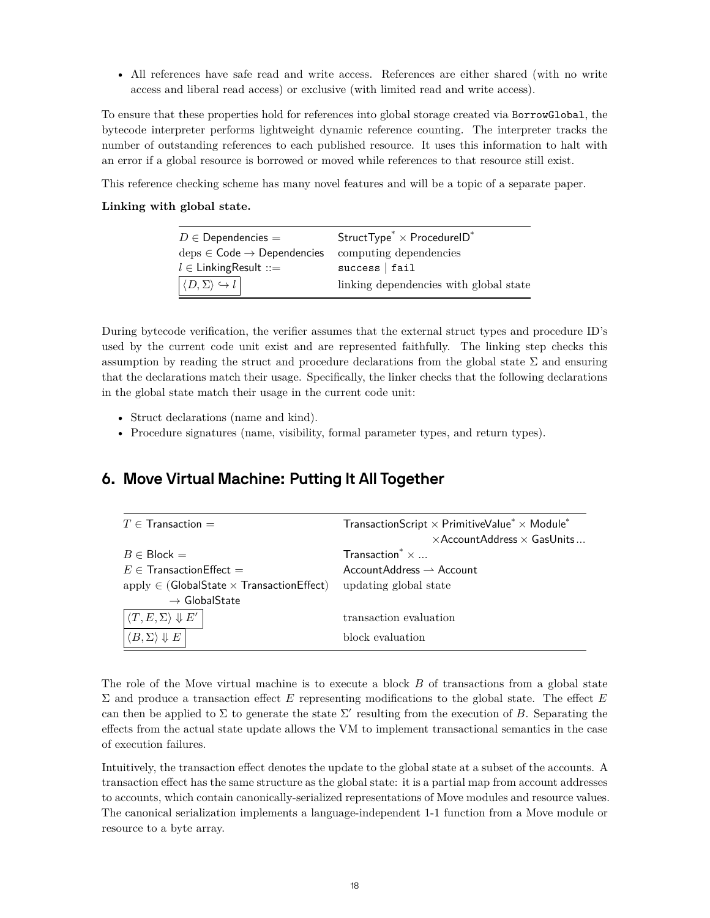• All references have safe read and write access. References are either shared (with no write access and liberal read access) or exclusive (with limited read and write access).

To ensure that these properties hold for references into global storage created via BorrowGlobal, the bytecode interpreter performs lightweight dynamic reference counting. The interpreter tracks the number of outstanding references to each published resource. It uses this information to halt with an error if a global resource is borrowed or moved while references to that resource still exist.

This reference checking scheme has many novel features and will be a topic of a separate paper.

#### **Linking with global state.**

| $D \in$ Dependencies =                                       | StructType <sup>*</sup> $\times$ ProcedureID <sup>*</sup> |  |
|--------------------------------------------------------------|-----------------------------------------------------------|--|
| $\text{des} \in \text{Code} \rightarrow \text{Dependencies}$ | computing dependencies                                    |  |
| $l \in$ Linking Result ::=                                   | success   fail                                            |  |
| $  \langle D, \Sigma \rangle \hookrightarrow l  $            | linking dependencies with global state                    |  |

During bytecode verification, the verifier assumes that the external struct types and procedure ID's used by the current code unit exist and are represented faithfully. The linking step checks this assumption by reading the struct and procedure declarations from the global state  $\Sigma$  and ensuring that the declarations match their usage. Specifically, the linker checks that the following declarations in the global state match their usage in the current code unit:

- Struct declarations (name and kind).
- Procedure signatures (name, visibility, formal parameter types, and return types).

# <span id="page-17-0"></span>**6. Move Virtual Machine: Putting It All Together**

| $T \in$ Transaction $=$                               | TransactionScript $\times$ PrimitiveValue <sup>*</sup> $\times$ Module <sup>*</sup> |
|-------------------------------------------------------|-------------------------------------------------------------------------------------|
|                                                       | $\times$ AccountAddress $\times$ GasUnits                                           |
| $B \in Block =$                                       | Transaction $\times \dots$                                                          |
| $E \in$ Transaction Effect $=$                        | $AccountAddress \rightarrow Account$                                                |
| apply $\in$ (GlobalState $\times$ Transaction Effect) | updating global state                                                               |
| $\rightarrow$ GlobalState                             |                                                                                     |
| $\langle T, E, \Sigma \rangle \Downarrow E'$          | transaction evaluation                                                              |
| $\langle B,\Sigma\rangle \Downarrow E$                | block evaluation                                                                    |

The role of the Move virtual machine is to execute a block  $B$  of transactions from a global state  $\Sigma$  and produce a transaction effect  $E$  representing modifications to the global state. The effect  $E$ can then be applied to  $\Sigma$  to generate the state  $\Sigma'$  resulting from the execution of B. Separating the effects from the actual state update allows the VM to implement transactional semantics in the case of execution failures.

Intuitively, the transaction effect denotes the update to the global state at a subset of the accounts. A transaction effect has the same structure as the global state: it is a partial map from account addresses to accounts, which contain canonically-serialized representations of Move modules and resource values. The canonical serialization implements a language-independent 1-1 function from a Move module or resource to a byte array.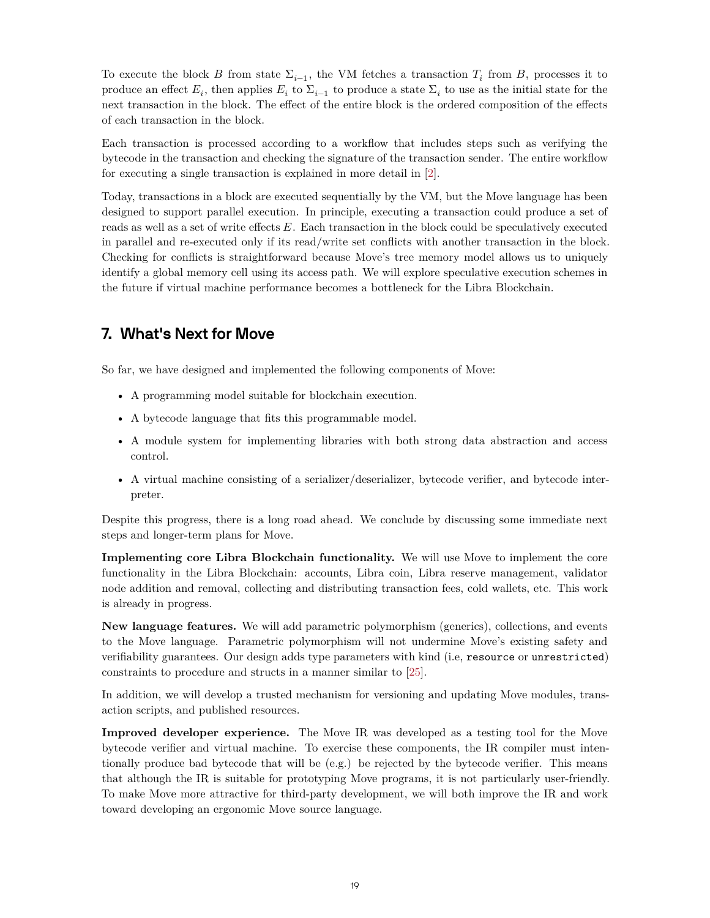To execute the block B from state  $\Sigma_{i-1}$ , the VM fetches a transaction  $T_i$  from B, processes it to produce an effect  $E_i$ , then applies  $E_i$  to  $\Sigma_{i-1}$  to produce a state  $\Sigma_i$  to use as the initial state for the next transaction in the block. The effect of the entire block is the ordered composition of the effects of each transaction in the block.

Each transaction is processed according to a workflow that includes steps such as verifying the bytecode in the transaction and checking the signature of the transaction sender. The entire workflow for executing a single transaction is explained in more detail in[[2\]](#page-24-1).

Today, transactions in a block are executed sequentially by the VM, but the Move language has been designed to support parallel execution. In principle, executing a transaction could produce a set of reads as well as a set of write effects  $E$ . Each transaction in the block could be speculatively executed in parallel and re-executed only if its read/write set conflicts with another transaction in the block. Checking for conflicts is straightforward because Move's tree memory model allows us to uniquely identify a global memory cell using its access path. We will explore speculative execution schemes in the future if virtual machine performance becomes a bottleneck for the Libra Blockchain.

# <span id="page-18-0"></span>**7. What's Next for Move**

So far, we have designed and implemented the following components of Move:

- A programming model suitable for blockchain execution.
- A bytecode language that fits this programmable model.
- A module system for implementing libraries with both strong data abstraction and access control.
- A virtual machine consisting of a serializer/deserializer, bytecode verifier, and bytecode interpreter.

Despite this progress, there is a long road ahead. We conclude by discussing some immediate next steps and longer-term plans for Move.

**Implementing core Libra Blockchain functionality.** We will use Move to implement the core functionality in the Libra Blockchain: accounts, Libra coin, Libra reserve management, validator node addition and removal, collecting and distributing transaction fees, cold wallets, etc. This work is already in progress.

**New language features.** We will add parametric polymorphism (generics), collections, and events to the Move language. Parametric polymorphism will not undermine Move's existing safety and verifiability guarantees. Our design adds type parameters with kind (i.e, resource or unrestricted) constraints to procedure and structs in a manner similar to [[25\]](#page-25-2).

In addition, we will develop a trusted mechanism for versioning and updating Move modules, transaction scripts, and published resources.

**Improved developer experience.** The Move IR was developed as a testing tool for the Move bytecode verifier and virtual machine. To exercise these components, the IR compiler must intentionally produce bad bytecode that will be (e.g.) be rejected by the bytecode verifier. This means that although the IR is suitable for prototyping Move programs, it is not particularly user-friendly. To make Move more attractive for third-party development, we will both improve the IR and work toward developing an ergonomic Move source language.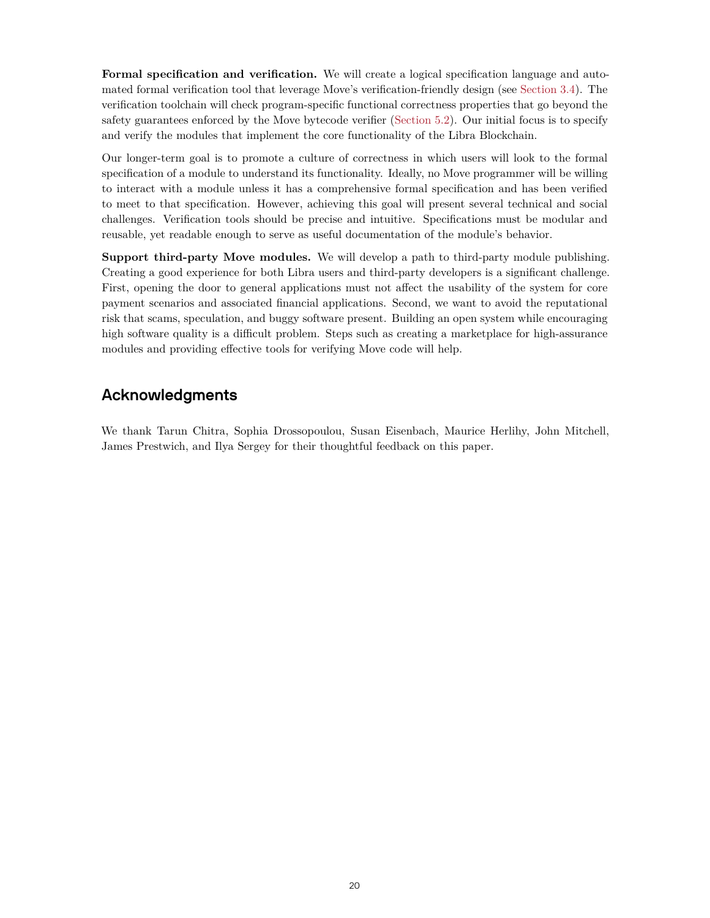Formal specification and verification. We will create a logical specification language and automated formal verification tool that leverage Move's verification-friendly design (see [Section 3.4](#page-6-0)). The verification toolchain will check program-specific functional correctness properties that go beyond the safety guarantees enforced by the Move bytecode verifier [\(Section 5.2\)](#page-15-0). Our initial focus is to specify and verify the modules that implement the core functionality of the Libra Blockchain.

Our longer-term goal is to promote a culture of correctness in which users will look to the formal specification of a module to understand its functionality. Ideally, no Move programmer will be willing to interact with a module unless it has a comprehensive formal specification and has been verified to meet to that specification. However, achieving this goal will present several technical and social challenges. Verification tools should be precise and intuitive. Specifications must be modular and reusable, yet readable enough to serve as useful documentation of the module's behavior.

**Support third-party Move modules.** We will develop a path to third-party module publishing. Creating a good experience for both Libra users and third-party developers is a significant challenge. First, opening the door to general applications must not affect the usability of the system for core payment scenarios and associated financial applications. Second, we want to avoid the reputational risk that scams, speculation, and buggy software present. Building an open system while encouraging high software quality is a difficult problem. Steps such as creating a marketplace for high-assurance modules and providing effective tools for verifying Move code will help.

# **Acknowledgments**

We thank Tarun Chitra, Sophia Drossopoulou, Susan Eisenbach, Maurice Herlihy, John Mitchell, James Prestwich, and Ilya Sergey for their thoughtful feedback on this paper.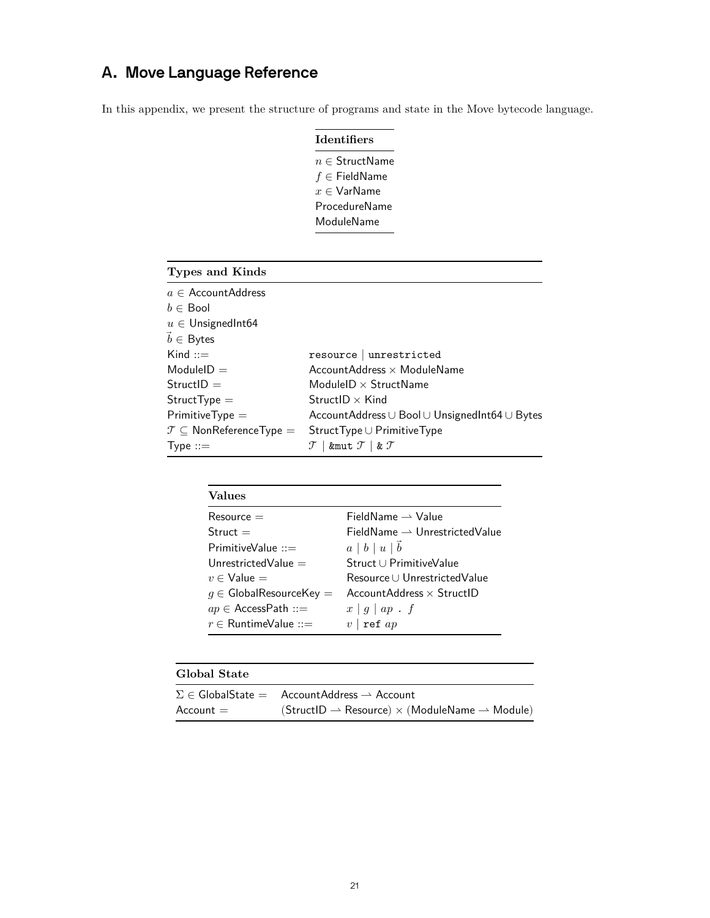# <span id="page-20-0"></span>**A. Move Language Reference**

In this appendix, we present the structure of programs and state in the Move bytecode language.

| <b>Identifiers</b> |  |                             |
|--------------------|--|-----------------------------|
|                    |  | $n \in \mathsf{StructName}$ |
|                    |  | $f \in$ FieldName           |
|                    |  | $x \in V$ ar $N$ ame        |
|                    |  | ProcedureName               |
| ModuleName         |  |                             |

| Types and Kinds                            |                                                                 |
|--------------------------------------------|-----------------------------------------------------------------|
| $a \in$ Account Address                    |                                                                 |
| $b \in$ Bool                               |                                                                 |
| $u \in$ Unsigned Int64                     |                                                                 |
| $\vec{b} \in$ Bytes                        |                                                                 |
| $Kind ::=$                                 | resource   unrestricted                                         |
| $ModuleID =$                               | AccountAddress $\times$ ModuleName                              |
| $StructID =$                               | ModuleID $\times$ StructName                                    |
| $StructType =$                             | $StructID \times Kind$                                          |
| $PrimitiveType =$                          | Account Address $\cup$ Bool $\cup$ Unsigned Int 64 $\cup$ Bytes |
| $\mathcal{T} \subseteq$ NonReferenceType = | $StructType \cup PrimitiveType$                                 |
| Type $::=$                                 | &mut $\mathcal{T}$   & $\mathcal{T}$                            |

| <b>Values</b>                        |                                           |
|--------------------------------------|-------------------------------------------|
| $Resource =$                         | $FieldName \rightarrow Value$             |
| $Struct =$                           | $FieldName \rightarrow UnrestrictedValue$ |
| PrimitiveValue $::=$                 | $a \mid b \mid u \mid b$                  |
| Unrestricted Value $=$               | Struct U Primitive Value                  |
| $v \in$ Value $=$                    | Resource U Unrestricted Value             |
| $g \in \mathsf{GlobalResourceKey} =$ | Account Address $\times$ StructlD         |
| $ap \in AccessPath ::=$              | $x \mid g \mid ap \cdot f$                |
| $r \in$ RuntimeValue ::=             | ref $ap$<br>$\upsilon$                    |

| Global State |                                                                                          |
|--------------|------------------------------------------------------------------------------------------|
|              | $\Sigma \in \mathsf{GlobalState} = \mathsf{AccountAddress} \rightarrow \mathsf{Account}$ |
| $Account =$  | $(StructID \rightarrow Resource) \times (ModuleName \rightarrow Module)$                 |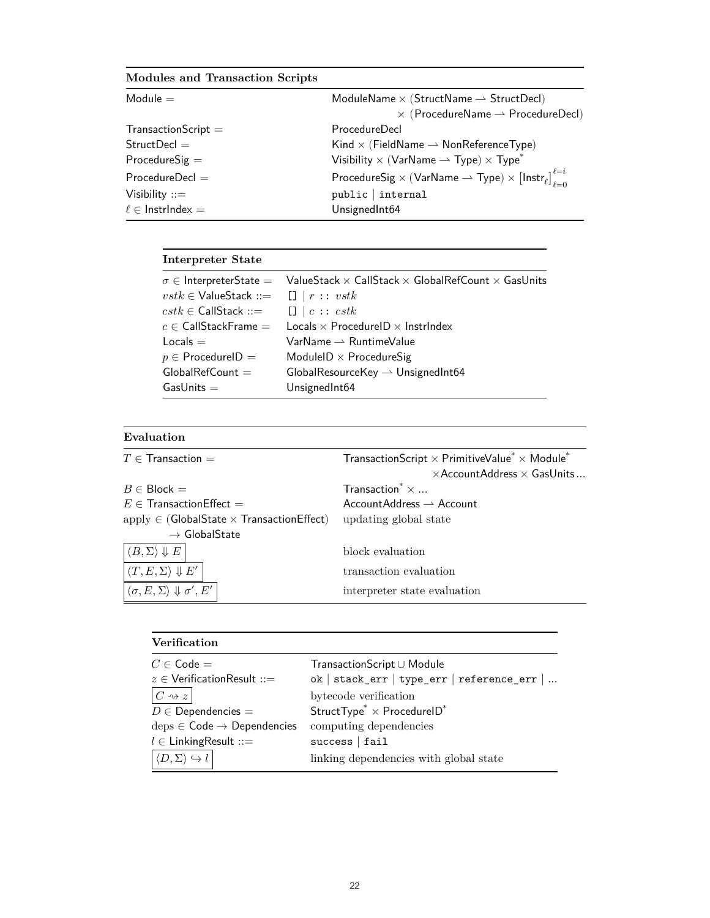# **Modules and Transaction Scripts**

| Module $=$              | ModuleName $\times$ (StructName $\rightarrow$ StructDecl)                                                  |
|-------------------------|------------------------------------------------------------------------------------------------------------|
|                         | $\times$ (ProcedureName $\rightarrow$ ProcedureDecl)                                                       |
| $TransactionScript =$   | ProcedureDecl                                                                                              |
| Struct                  | Kind $\times$ (FieldName $\rightarrow$ NonReferenceType)                                                   |
| $ProceedureSig =$       | Visibility $\times$ (VarName $\rightarrow$ Type) $\times$ Type <sup>*</sup>                                |
| $ProcedureDecl =$       | ProcedureSig $\times$ (VarName $\rightarrow$ Type) $\times$ [Instr <sub>e</sub> ] $\int_{\ell=0}^{\ell=i}$ |
| Visibility $ ::=$       | public   internal                                                                                          |
| $\ell \in$ Instrindex = | UnsignedInt64                                                                                              |

# **Interpreter State**

| $vstk \in$ ValueStack ::= $[] \mid r :: vstk$                                                          | $\sigma \in$ InterpreterState = ValueStack $\times$ CallStack $\times$ GlobalRefCount $\times$ GasUnits |
|--------------------------------------------------------------------------------------------------------|---------------------------------------------------------------------------------------------------------|
| $\mathit{cstk} \in \mathsf{CallStack} ::= \Box \   \ c :: \mathit{cstk}$<br>$c \in$ CallStackFrame $=$ | Locals $\times$ ProcedurelD $\times$ Instrindex                                                         |
| $Locals =$                                                                                             | $VarName \rightharpoonup RuntimeValue$                                                                  |
| $p \in$ ProcedurelD =                                                                                  | ModuleID $\times$ ProcedureSig                                                                          |
| $GlobalRefCount =$                                                                                     | GlobalResourceKey $\rightarrow$ UnsignedInt64                                                           |
| $GasUnits =$                                                                                           | UnsignedInt64                                                                                           |

## **Evaluation**

| $T\in\textsf{Transaction} =$                                                  | TransactionScript $\times$ PrimitiveValue <sup>*</sup> $\times$ Module <sup>*</sup> |
|-------------------------------------------------------------------------------|-------------------------------------------------------------------------------------|
|                                                                               | $\times$ AccountAddress $\times$ GasUnits                                           |
| $B \in \mathsf{Block} =$                                                      | Transaction $* \times $                                                             |
| $E \in \mathsf{TransactionEffect} =$                                          | $AccountAddress \rightharpoonup Account$                                            |
| $\mathrm{apply} \in (\mathsf{GlobalState} \times \mathsf{TransactionEffect})$ | updating global state                                                               |
| $\rightarrow$ GlobalState                                                     |                                                                                     |
| $ \langle B,\Sigma\rangle\Downarrow E $                                       | block evaluation                                                                    |
| $\langle T, E, \Sigma \rangle \Downarrow E'$                                  | transaction evaluation                                                              |
| $\langle \sigma, E, \Sigma \rangle \Downarrow \sigma', E'$                    | interpreter state evaluation                                                        |

| <b>Verification</b>                                           |                                                           |
|---------------------------------------------------------------|-----------------------------------------------------------|
| $C \in \mathsf{Code} =$                                       | TransactionScript∪ Module                                 |
| $z \in$ Verification Result ::=                               | ok   stack_err   type_err   reference_err                 |
| $C \rightsquigarrow z$                                        | bytecode verification                                     |
| $D \in$ Dependencies =                                        | StructType <sup>*</sup> $\times$ ProcedureID <sup>*</sup> |
| $\text{deps} \in \text{Code} \rightarrow \text{Dependencies}$ | computing dependencies                                    |
| $l \in$ Linking Result ::=                                    | success   fail                                            |
|                                                               | linking dependencies with global state                    |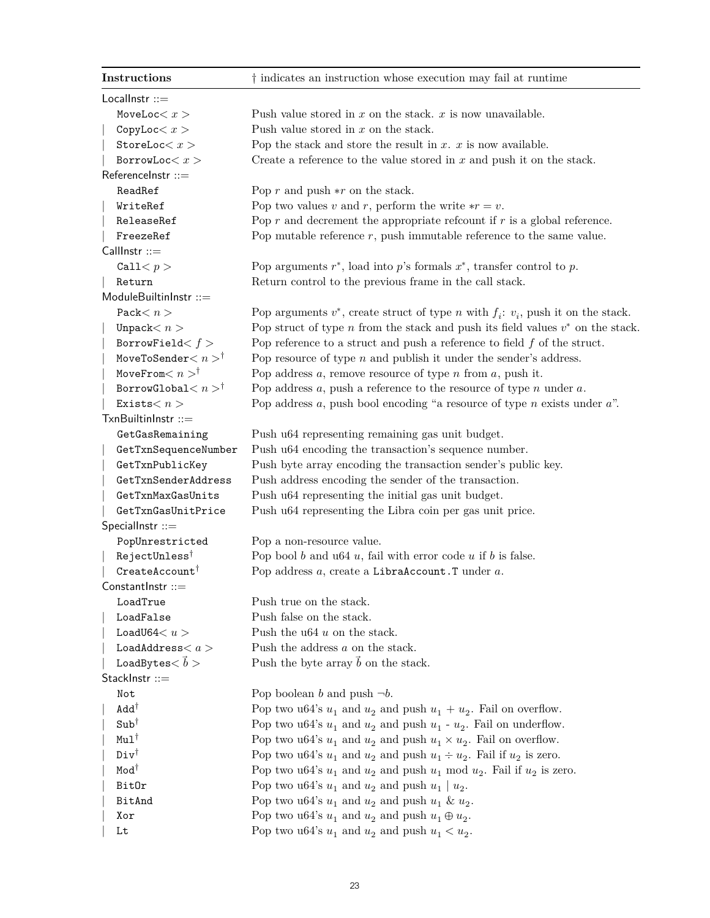| Instructions                             | † indicates an instruction whose execution may fail at runtime                                  |
|------------------------------------------|-------------------------------------------------------------------------------------------------|
| Locallnstr $ ::=$                        |                                                                                                 |
| MoveLoc $< x >$                          | Push value stored in $x$ on the stack. $x$ is now unavailable.                                  |
| CopyLoc < x >                            | Push value stored in $x$ on the stack.                                                          |
| StoreLoc $< x >$                         | Pop the stack and store the result in $x$ . $x$ is now available.                               |
| BorrowLoc < x >                          | Create a reference to the value stored in $x$ and push it on the stack.                         |
| ReferenceInstr ::=                       |                                                                                                 |
| ReadRef                                  | Pop $r$ and push $\ast r$ on the stack.                                                         |
| WriteRef                                 | Pop two values v and r, perform the write $\ast r = v$ .                                        |
| ReleaseRef                               | Pop $r$ and decrement the appropriate reforunt if $r$ is a global reference.                    |
| FreezeRef                                | Pop mutable reference $r$ , push immutable reference to the same value.                         |
| CallInstr ::=                            |                                                                                                 |
| Call $< p >$                             | Pop arguments $r^*$ , load into $p$ 's formals $x^*$ , transfer control to $p$ .                |
| Return                                   | Return control to the previous frame in the call stack.                                         |
| ModuleBuiltinInstr ::=                   |                                                                                                 |
| Pack $< n$                               | Pop arguments $v^*$ , create struct of type <i>n</i> with $f_i$ : $v_i$ , push it on the stack. |
| Unpack $< n$                             | Pop struct of type $n$ from the stack and push its field values $v^*$ on the stack.             |
| BorrowField $< f >$                      | Pop reference to a struct and push a reference to field $f$ of the struct.                      |
| MoveToSender $< n >$ <sup>†</sup>        | Pop resource of type $n$ and publish it under the sender's address.                             |
| MoveFrom $< n > \dagger$                 | Pop address $a$ , remove resource of type $n$ from $a$ , push it.                               |
| BorrowGlobal $< n >^{\dagger}$           | Pop address $a$ , push a reference to the resource of type $n$ under $a$ .                      |
| Exists $< n$                             | Pop address $a$ , push bool encoding "a resource of type $n$ exists under $a$ ".                |
| TxnBuiltinInstr ::=                      |                                                                                                 |
| GetGasRemaining                          | Push u64 representing remaining gas unit budget.                                                |
| GetTxnSequenceNumber                     | Push u64 encoding the transaction's sequence number.                                            |
| GetTxnPublicKey                          | Push byte array encoding the transaction sender's public key.                                   |
| GetTxnSenderAddress                      | Push address encoding the sender of the transaction.                                            |
| GetTxnMaxGasUnits                        | Push u64 representing the initial gas unit budget.                                              |
| GetTxnGasUnitPrice                       | Push u64 representing the Libra coin per gas unit price.                                        |
| Speciallnstr $ ::=$                      |                                                                                                 |
| PopUnrestricted                          | Pop a non-resource value.                                                                       |
| RejectUnless <sup>†</sup>                | Pop bool $b$ and $u64$ $u$ , fail with error code $u$ if $b$ is false.                          |
| CreateAccount <sup>†</sup>               | Pop address $a$ , create a LibraAccount. T under $a$ .                                          |
| $ConstantInstr ::=$                      |                                                                                                 |
| LoadTrue                                 | Push true on the stack.                                                                         |
| LoadFalse                                | Push false on the stack.                                                                        |
| LoadU64 $< u >$                          | Push the $u64 u$ on the stack.                                                                  |
| $\texttt{LoadAddress} < a >$             | Push the address a on the stack.                                                                |
| $\mathtt{LoadBytes}\mathop{<}\vec{b}>\,$ | Push the byte array $\vec{b}$ on the stack.                                                     |
| StackInstr ::=                           |                                                                                                 |
| Not                                      | Pop boolean b and push $\neg b$ .                                                               |
| Add <sup>†</sup>                         | Pop two u64's $u_1$ and $u_2$ and push $u_1 + u_2$ . Fail on overflow.                          |
| $Sub^{\dagger}$                          |                                                                                                 |
| $Mu1^{\dagger}$                          | Pop two u64's $u_1$ and $u_2$ and push $u_1$ - $u_2$ . Fail on underflow.                       |
| $Div^{\dagger}$                          | Pop two u64's $u_1$ and $u_2$ and push $u_1 \times u_2$ . Fail on overflow.                     |
| Mod <sup>†</sup>                         | Pop two u64's $u_1$ and $u_2$ and push $u_1 \div u_2$ . Fail if $u_2$ is zero.                  |
|                                          | Pop two u64's $u_1$ and $u_2$ and push $u_1$ mod $u_2$ . Fail if $u_2$ is zero.                 |
| <b>BitOr</b>                             | Pop two u64's $u_1$ and $u_2$ and push $u_1   u_2$ .                                            |
| BitAnd                                   | Pop two u64's $u_1$ and $u_2$ and push $u_1$ & $u_2$ .                                          |
| Xor                                      | Pop two u64's $u_1$ and $u_2$ and push $u_1 \oplus u_2$ .                                       |
| Lt                                       | Pop two u64's $u_1$ and $u_2$ and push $u_1 < u_2$ .                                            |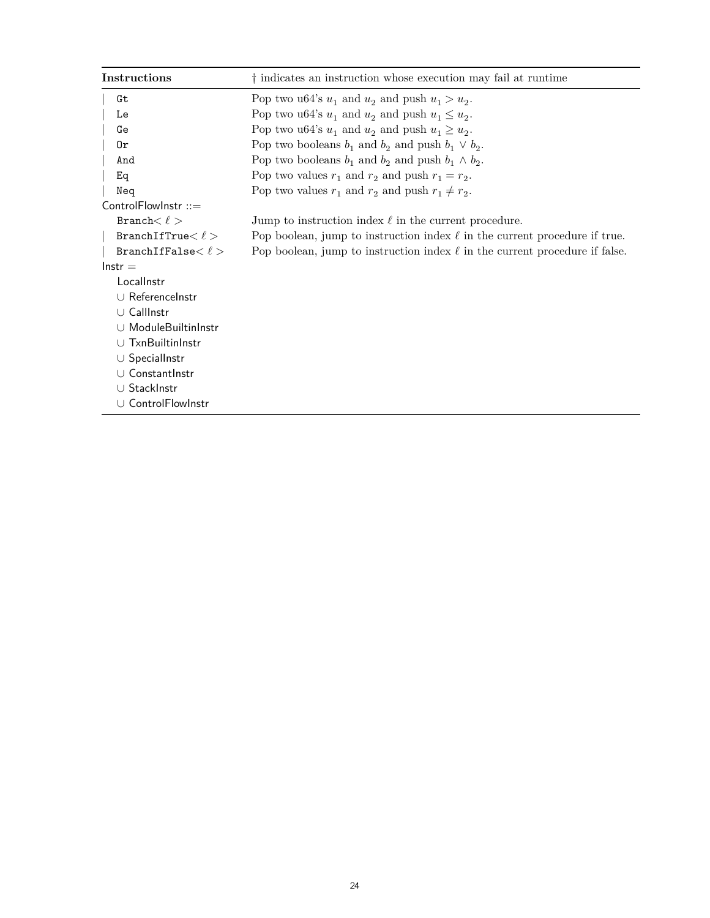| Instructions            | t indicates an instruction whose execution may fail at runtime                   |
|-------------------------|----------------------------------------------------------------------------------|
| Gt                      | Pop two u64's $u_1$ and $u_2$ and push $u_1 > u_2$ .                             |
| Le                      | Pop two u64's $u_1$ and $u_2$ and push $u_1 \leq u_2$ .                          |
| Ge                      | Pop two u64's $u_1$ and $u_2$ and push $u_1 \ge u_2$ .                           |
| 0r                      | Pop two booleans $b_1$ and $b_2$ and push $b_1 \vee b_2$ .                       |
| And                     | Pop two booleans $b_1$ and $b_2$ and push $b_1 \wedge b_2$ .                     |
| Eq                      | Pop two values $r_1$ and $r_2$ and push $r_1 = r_2$ .                            |
| Neq                     | Pop two values $r_1$ and $r_2$ and push $r_1 \neq r_2$ .                         |
| ControlFlowInstr $::=$  |                                                                                  |
| Branch $< \ell >$       | Jump to instruction index $\ell$ in the current procedure.                       |
| BranchIfTrue $< \ell >$ | Pop boolean, jump to instruction index $\ell$ in the current procedure if true.  |
| BranchIfFalse $<\ell>$  | Pop boolean, jump to instruction index $\ell$ in the current procedure if false. |
| $lnstr =$               |                                                                                  |
| Locallnstr              |                                                                                  |
| U Referencelnstr        |                                                                                  |
| U CallInstr             |                                                                                  |
| U ModuleBuiltinInstr    |                                                                                  |
| U TxnBuiltinInstr       |                                                                                  |
| $\cup$ Speciallnstr     |                                                                                  |
| U ConstantInstr         |                                                                                  |
| U StackInstr            |                                                                                  |
| ∪ ControlFlowInstr      |                                                                                  |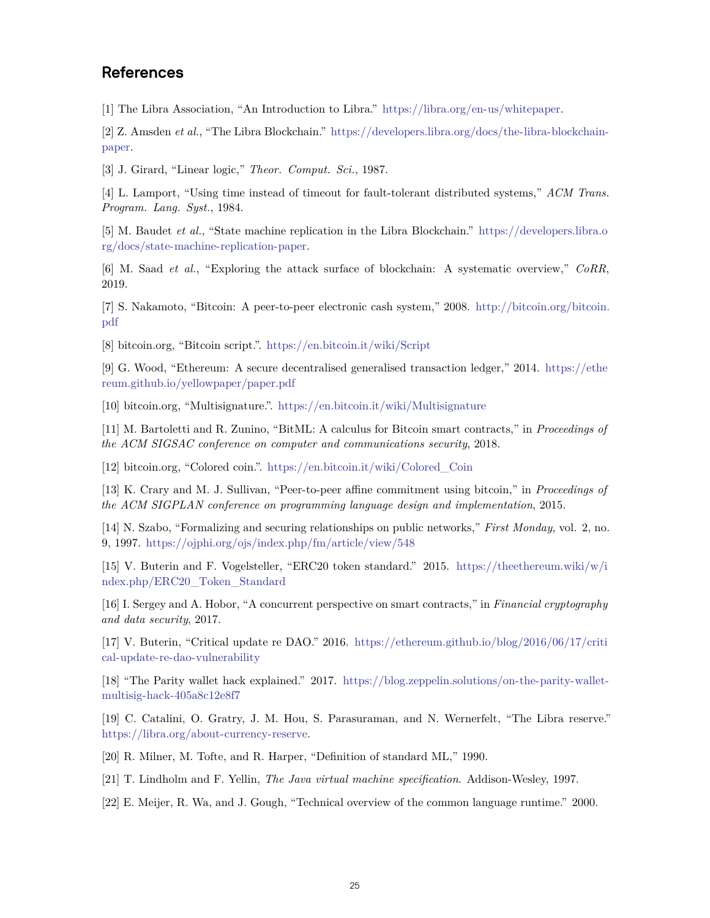# **References**

<span id="page-24-0"></span>[1] The Libra Association, "An Introduction to Libra." <https://libra.org/en-us/whitepaper>.

<span id="page-24-1"></span>[2] Z. Amsden *et al.*, "The Libra Blockchain." [https://developers.libra.org/docs/the-libra-blockchain](https://developers.libra.org/docs/the-libra-blockchain-paper)[paper](https://developers.libra.org/docs/the-libra-blockchain-paper).

<span id="page-24-2"></span>[3] J. Girard, "Linear logic," *Theor. Comput. Sci.*, 1987.

<span id="page-24-3"></span>[4] L. Lamport, "Using time instead of timeout for fault-tolerant distributed systems," *ACM Trans. Program. Lang. Syst.*, 1984.

<span id="page-24-4"></span>[5] M. Baudet *et al.*, "State machine replication in the Libra Blockchain." [https://developers.libra.o](https://developers.libra.org/docs/state-machine-replication-paper) [rg/docs/state-machine-replication-paper](https://developers.libra.org/docs/state-machine-replication-paper).

<span id="page-24-5"></span>[6] M. Saad *et al.*, "Exploring the attack surface of blockchain: A systematic overview," *CoRR*, 2019.

<span id="page-24-6"></span>[7] S. Nakamoto, "Bitcoin: A peer-to-peer electronic cash system," 2008. [http://bitcoin.org/bitcoin.](http://bitcoin.org/bitcoin.pdf) [pdf](http://bitcoin.org/bitcoin.pdf)

<span id="page-24-7"></span>[8] bitcoin.org, "Bitcoin script.". <https://en.bitcoin.it/wiki/Script>

<span id="page-24-8"></span>[9] G. Wood, "Ethereum: A secure decentralised generalised transaction ledger," 2014. [https://ethe](https://ethereum.github.io/yellowpaper/paper.pdf) [reum.github.io/yellowpaper/paper.pdf](https://ethereum.github.io/yellowpaper/paper.pdf)

<span id="page-24-9"></span>[10] bitcoin.org, "Multisignature.". <https://en.bitcoin.it/wiki/Multisignature>

<span id="page-24-10"></span>[11] M. Bartoletti and R. Zunino, "BitML: A calculus for Bitcoin smart contracts," in *Proceedings of the ACM SIGSAC conference on computer and communications security*, 2018.

<span id="page-24-11"></span>[12] bitcoin.org, "Colored coin.". [https://en.bitcoin.it/wiki/Colored\\_Coin](https://en.bitcoin.it/wiki/Colored_Coin)

<span id="page-24-12"></span>[13] K. Crary and M. J. Sullivan, "Peer-to-peer affine commitment using bitcoin," in *Proceedings of the ACM SIGPLAN conference on programming language design and implementation*, 2015.

<span id="page-24-13"></span>[14] N. Szabo, "Formalizing and securing relationships on public networks," *First Monday*, vol. 2, no. 9, 1997. <https://ojphi.org/ojs/index.php/fm/article/view/548>

<span id="page-24-14"></span>[15] V. Buterin and F. Vogelsteller, "ERC20 token standard." 2015. [https://theethereum.wiki/w/i](https://theethereum.wiki/w/index.php/ERC20_Token_Standard) [ndex.php/ERC20\\_Token\\_Standard](https://theethereum.wiki/w/index.php/ERC20_Token_Standard)

<span id="page-24-15"></span>[16] I. Sergey and A. Hobor, "A concurrent perspective on smart contracts," in *Financial cryptography and data security*, 2017.

<span id="page-24-16"></span>[17] V. Buterin, "Critical update re DAO." 2016. [https://ethereum.github.io/blog/2016/06/17/criti](https://ethereum.github.io/blog/2016/06/17/critical-update-re-dao-vulnerability) [cal-update-re-dao-vulnerability](https://ethereum.github.io/blog/2016/06/17/critical-update-re-dao-vulnerability)

<span id="page-24-17"></span>[18] "The Parity wallet hack explained." 2017. [https://blog.zeppelin.solutions/on-the-parity-wallet](https://blog.zeppelin.solutions/on-the-parity-wallet-multisig-hack-405a8c12e8f7)[multisig-hack-405a8c12e8f7](https://blog.zeppelin.solutions/on-the-parity-wallet-multisig-hack-405a8c12e8f7)

<span id="page-24-18"></span>[19] C. Catalini, O. Gratry, J. M. Hou, S. Parasuraman, and N. Wernerfelt, "The Libra reserve." <https://libra.org/about-currency-reserve>.

<span id="page-24-19"></span>[20] R. Milner, M. Tofte, and R. Harper, "Definition of standard ML," 1990.

<span id="page-24-20"></span>[21] T. Lindholm and F. Yellin, *The Java virtual machine specification*. Addison-Wesley, 1997.

<span id="page-24-21"></span>[22] E. Meijer, R. Wa, and J. Gough, "Technical overview of the common language runtime." 2000.